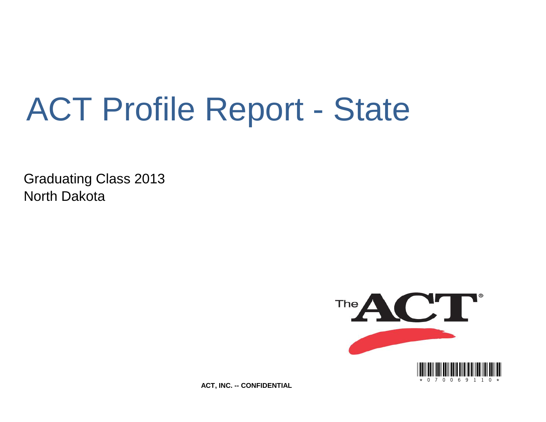# ACT Profile Report - State

Graduating Class 2013 North Dakota



**ACT, INC. -- CONFIDENTIAL**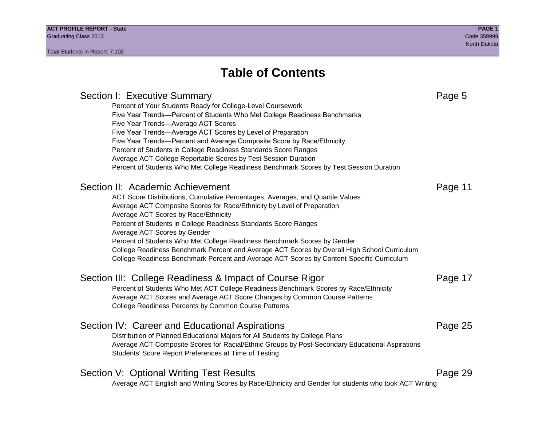## **Table of Contents**

## Section I: Executive Summary **Page 5** and the section I: Executive Summary Percent of Your Students Ready for College-Level Coursework Five Year Trends—Percent of Students Who Met College Readiness Benchmarks Five Year Trends—Average ACT Scores Five Year Trends—Average ACT Scores by Level of Preparation Five Year Trends—Percent and Average Composite Score by Race/Ethnicity Percent of Students in College Readiness Standards Score Ranges Average ACT College Reportable Scores by Test Session Duration Percent of Students Who Met College Readiness Benchmark Scores by Test Session Duration Section II: Academic Achievement **Page 11** Page 11 ACT Score Distributions, Cumulative Percentages, Averages, and Quartile Values Average ACT Composite Scores for Race/Ethnicity by Level of Preparation Average ACT Scores by Race/Ethnicity Percent of Students in College Readiness Standards Score Ranges Average ACT Scores by Gender Percent of Students Who Met College Readiness Benchmark Scores by Gender College Readiness Benchmark Percent and Average ACT Scores by Overall High School Curriculum College Readiness Benchmark Percent and Average ACT Scores by Content-Specific Curriculum Section III: College Readiness & Impact of Course Rigor Page 17 Percent of Students Who Met ACT College Readiness Benchmark Scores by Race/Ethnicity Average ACT Scores and Average ACT Score Changes by Common Course Patterns College Readiness Percents by Common Course Patterns Section IV: Career and Educational Aspirations **Page 25** Page 25 Distribution of Planned Educational Majors for All Students by College Plans Average ACT Composite Scores for Racial/Ethnic Groups by Post-Secondary Educational Aspirations Students' Score Report Preferences at Time of Testing Section V: Optional Writing Test Results **Page 29** Page 29 Average ACT English and Writing Scores by Race/Ethnicity and Gender for students who took ACT Writing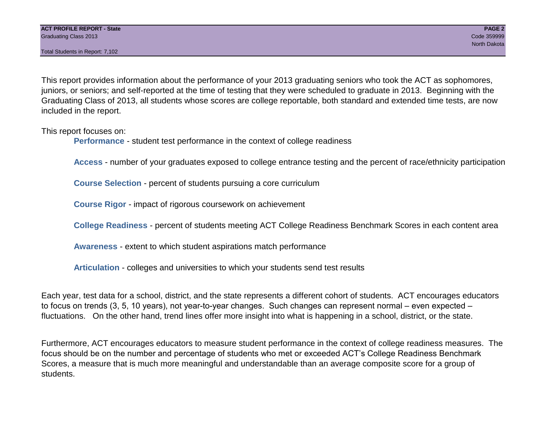Total Students in Report: 7,102

This report provides information about the performance of your 2013 graduating seniors who took the ACT as sophomores, juniors, or seniors; and self-reported at the time of testing that they were scheduled to graduate in 2013. Beginning with the Graduating Class of 2013, all students whose scores are college reportable, both standard and extended time tests, are now included in the report.

This report focuses on:

**Performance** - student test performance in the context of college readiness

**Access** - number of your graduates exposed to college entrance testing and the percent of race/ethnicity participation

**Course Selection** - percent of students pursuing a core curriculum

**Course Rigor** - impact of rigorous coursework on achievement

**College Readiness** - percent of students meeting ACT College Readiness Benchmark Scores in each content area

**Awareness** - extent to which student aspirations match performance

**Articulation** - colleges and universities to which your students send test results

Each year, test data for a school, district, and the state represents a different cohort of students. ACT encourages educators to focus on trends (3, 5, 10 years), not year-to-year changes. Such changes can represent normal – even expected – fluctuations. On the other hand, trend lines offer more insight into what is happening in a school, district, or the state.

Furthermore, ACT encourages educators to measure student performance in the context of college readiness measures. The focus should be on the number and percentage of students who met or exceeded ACT's College Readiness Benchmark Scores, a measure that is much more meaningful and understandable than an average composite score for a group of students.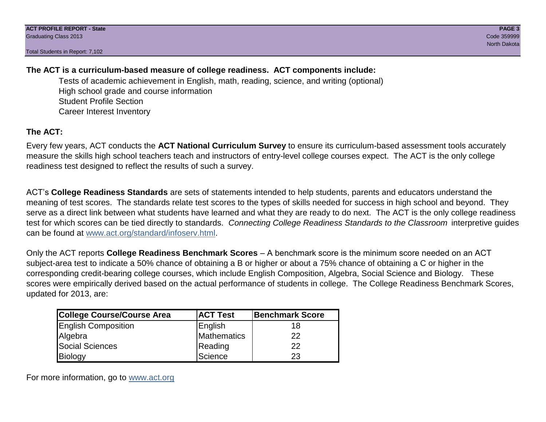Total Students in Report: 7,102

## **The ACT is a curriculum-based measure of college readiness. ACT components include:**

Tests of academic achievement in English, math, reading, science, and writing (optional) High school grade and course information Student Profile Section Career Interest Inventory

## **The ACT:**

Every few years, ACT conducts the **ACT National Curriculum Survey** to ensure its curriculum-based assessment tools accurately measure the skills high school teachers teach and instructors of entry-level college courses expect. The ACT is the only college readiness test designed to reflect the results of such a survey.

ACT's **College Readiness Standards** are sets of statements intended to help students, parents and educators understand the meaning of test scores. The standards relate test scores to the types of skills needed for success in high school and beyond. They serve as a direct link between what students have learned and what they are ready to do next. The ACT is the only college readiness test for which scores can be tied directly to standards. *Connecting College Readiness Standards to the Classroom* interpretive guides can be found at www.act.org/standard/infoserv.html.

Only the ACT reports **College Readiness Benchmark Scores** – A benchmark score is the minimum score needed on an ACT subject-area test to indicate a 50% chance of obtaining a B or higher or about a 75% chance of obtaining a C or higher in the corresponding credit-bearing college courses, which include English Composition, Algebra, Social Science and Biology. These scores were empirically derived based on the actual performance of students in college. The College Readiness Benchmark Scores, updated for 2013, are:

| College Course/Course Area | <b>ACT Test</b> | <b>Benchmark Score</b> |
|----------------------------|-----------------|------------------------|
| <b>English Composition</b> | English         | 18                     |
| Algebra                    | Mathematics     | 22                     |
| <b>Social Sciences</b>     | Reading         | 22                     |
| Biology                    | Science         | 23                     |

For more information, go to www.act.org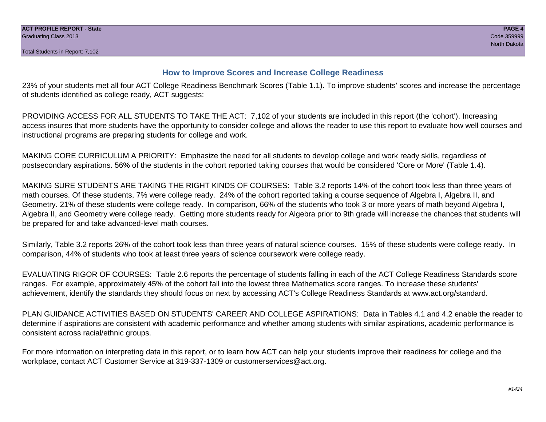### **How to Improve Scores and Increase College Readiness**

23% of your students met all four ACT College Readiness Benchmark Scores (Table 1.1). To improve students' scores and increase the percentage of students identified as college ready, ACT suggests:

PROVIDING ACCESS FOR ALL STUDENTS TO TAKE THE ACT: 7,102 of your students are included in this report (the 'cohort'). Increasing access insures that more students have the opportunity to consider college and allows the reader to use this report to evaluate how well courses and instructional programs are preparing students for college and work.

MAKING CORE CURRICULUM A PRIORITY: Emphasize the need for all students to develop college and work ready skills, regardless of postsecondary aspirations. 56% of the students in the cohort reported taking courses that would be considered 'Core or More' (Table 1.4).

MAKING SURE STUDENTS ARE TAKING THE RIGHT KINDS OF COURSES: Table 3.2 reports 14% of the cohort took less than three years of math courses. Of these students, 7% were college ready. 24% of the cohort reported taking a course sequence of Algebra I, Algebra II, and Geometry. 21% of these students were college ready. In comparison, 66% of the students who took 3 or more years of math beyond Algebra I, Algebra II, and Geometry were college ready. Getting more students ready for Algebra prior to 9th grade will increase the chances that students will be prepared for and take advanced-level math courses.

Similarly, Table 3.2 reports 26% of the cohort took less than three years of natural science courses. 15% of these students were college ready. In comparison, 44% of students who took at least three years of science coursework were college ready.

EVALUATING RIGOR OF COURSES: Table 2.6 reports the percentage of students falling in each of the ACT College Readiness Standards score ranges. For example, approximately 45% of the cohort fall into the lowest three Mathematics score ranges. To increase these students' achievement, identify the standards they should focus on next by accessing ACT's College Readiness Standards at www.act.org/standard.

PLAN GUIDANCE ACTIVITIES BASED ON STUDENTS' CAREER AND COLLEGE ASPIRATIONS: Data in Tables 4.1 and 4.2 enable the reader to determine if aspirations are consistent with academic performance and whether among students with similar aspirations, academic performance is consistent across racial/ethnic groups.

For more information on interpreting data in this report, or to learn how ACT can help your students improve their readiness for college and the workplace, contact ACT Customer Service at 319-337-1309 or customerservices@act.org.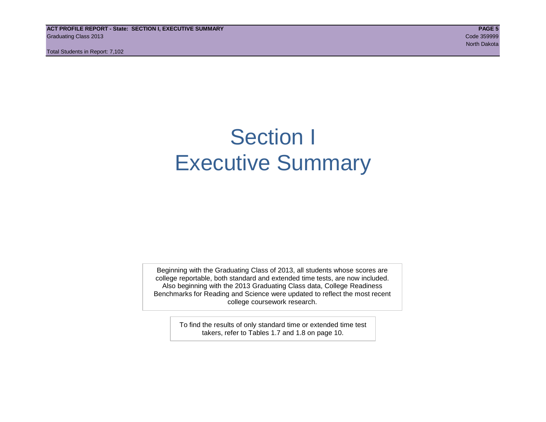**ACT PROFILE REPORT - State: SECTION I, EXECUTIVE SUMMARY PAGE 5** Graduating Class 2013 Code 359999

Total Students in Report: 7,102

## Section I Executive Summary

Beginning with the Graduating Class of 2013, all students whose scores are college reportable, both standard and extended time tests, are now included. Also beginning with the 2013 Graduating Class data, College Readiness Benchmarks for Reading and Science were updated to reflect the most recent college coursework research.

> To find the results of only standard time or extended time test takers, refer to Tables 1.7 and 1.8 on page 10.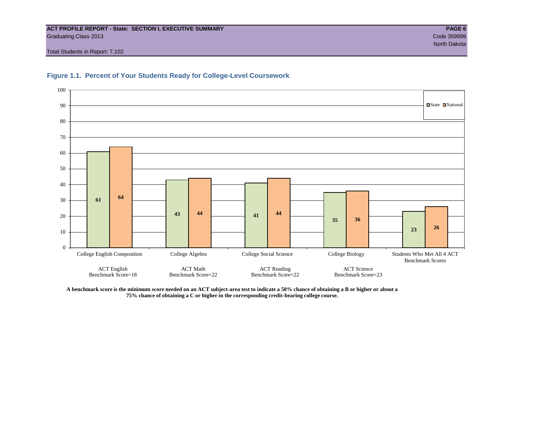#### **ACT PROFILE REPORT - State: SECTION I, EXECUTIVE SUMMARY PAGE 6** Graduating Class 2013 Code 359999

Total Students in Report: 7,102





**A benchmark score is the minimum score needed on an ACT subject-area test to indicate a 50% chance of obtaining a B or higher or about a 75% chance of obtaining a C or higher in the corresponding credit-bearing college course.**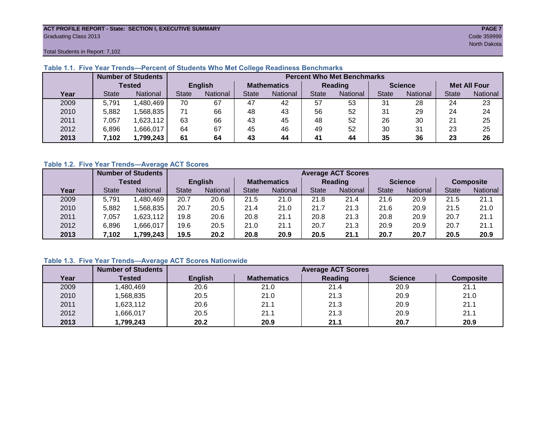#### **ACT PROFILE REPORT - State: SECTION I, EXECUTIVE SUMMARY PAGE 7** Graduating Class 2013 Code 359999

Total Students in Report: 7,102

|      |              | <b>Number of Students</b> |              | <b>Percent Who Met Benchmarks</b> |                    |                 |              |          |                |          |                     |          |  |  |
|------|--------------|---------------------------|--------------|-----------------------------------|--------------------|-----------------|--------------|----------|----------------|----------|---------------------|----------|--|--|
|      |              | <b>Tested</b>             |              | <b>English</b>                    | <b>Mathematics</b> |                 | Reading      |          | <b>Science</b> |          | <b>Met All Four</b> |          |  |  |
| Year | <b>State</b> | <b>National</b>           | <b>State</b> | National<br>State                 |                    | <b>National</b> | <b>State</b> | National |                | National | <b>State</b>        | National |  |  |
| 2009 | 5,791        | ,480,469                  | 70           | 67                                | 47                 | 42              | 57           | 53       | 31             | 28       | 24                  | 23       |  |  |
| 2010 | 5,882        | .568.835                  | 71           | 66                                | 48                 | 43              | 56           | 52       | 31             | 29       | 24                  | 24       |  |  |
| 2011 | 7.057        | 1,623,112                 | 63           | 66                                | 43                 | 45              | 48           | 52       | 26             | 30       | 21                  | 25       |  |  |
| 2012 | 6,896        | .666,017                  | 64           | 67                                | 45                 | 46              | 49           | 52       | 30             | 31       | 23                  | 25       |  |  |
| 2013 | 7.102        | 1,799,243                 | 61           | 64                                | 43                 | 44              | 41           | 44       | 35             | 36       | 23                  | 26       |  |  |

#### **Table 1.1. Five Year Trends—Percent of Students Who Met College Readiness Benchmarks**

#### **Table 1.2. Five Year Trends—Average ACT Scores**

|      |              | <b>Number of Students</b> |              |                |                    | <b>Average ACT Scores</b> |                |                 |                |          |                  |          |  |  |  |
|------|--------------|---------------------------|--------------|----------------|--------------------|---------------------------|----------------|-----------------|----------------|----------|------------------|----------|--|--|--|
|      |              | Tested                    |              | <b>English</b> | <b>Mathematics</b> |                           | <b>Reading</b> |                 | <b>Science</b> |          | <b>Composite</b> |          |  |  |  |
| Year | <b>State</b> | <b>National</b>           | <b>State</b> | National       | State              | National                  | <b>State</b>   | <b>National</b> | <b>State</b>   | National | <b>State</b>     | National |  |  |  |
| 2009 | 5,791        | .480,469                  | 20.7         | 20.6           | 21.5               | 21.0                      | 21.8           | 21.4            | 21.6           | 20.9     | 21.5             | 21.1     |  |  |  |
| 2010 | 5,882        | .568.835                  | 20.7         | 20.5           | 21.4               | 21.0                      | 21.7           | 21.3            | 21.6           | 20.9     | 21.5             | 21.0     |  |  |  |
| 2011 | 0.057        | ,623,112                  | 19.8         | 20.6           | 20.8               | 21.1                      | 20.8           | 21.3            | 20.8           | 20.9     | 20.7             | 21.1     |  |  |  |
| 2012 | 6,896        | .666,017                  | 19.6         | 20.5           | 21.0               | 21.1                      | 20.7           | 21.3            | 20.9           | 20.9     | 20.7             | 21.1     |  |  |  |
| 2013 | .102         | 1,799.243                 | 19.5         | 20.2           | 20.8               | 20.9                      | 20.5           | 21.1            | 20.7           | 20.7     | 20.5             | 20.9     |  |  |  |

### **Table 1.3. Five Year Trends—Average ACT Scores Nationwide**

|      | <b>Number of Students</b> |                | <b>Average ACT Scores</b> |         |                |                  |  |  |  |  |  |  |  |
|------|---------------------------|----------------|---------------------------|---------|----------------|------------------|--|--|--|--|--|--|--|
| Year | Tested                    | <b>English</b> | <b>Mathematics</b>        | Reading | <b>Science</b> | <b>Composite</b> |  |  |  |  |  |  |  |
| 2009 | ,480,469                  | 20.6           | 21.0                      | 21.4    | 20.9           | 21.1             |  |  |  |  |  |  |  |
| 2010 | ,568,835                  | 20.5           | 21.0                      | 21.3    | 20.9           | 21.0             |  |  |  |  |  |  |  |
| 2011 | ,623,112                  | 20.6           | 21.1                      | 21.3    | 20.9           | 21.1             |  |  |  |  |  |  |  |
| 2012 | ,666,017                  | 20.5           | 21.1                      | 21.3    | 20.9           | 21.1             |  |  |  |  |  |  |  |
| 2013 | 1,799,243                 | 20.2           | 20.9                      | 21.1    | 20.7           | 20.9             |  |  |  |  |  |  |  |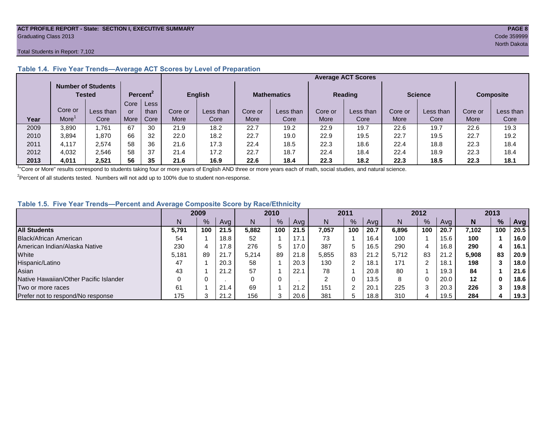#### **ACT PROFILE REPORT - State: SECTION I, EXECUTIVE SUMMARY PAGE 8** Graduating Class 2013 Code 359999

#### Total Students in Report: 7,102

|      |         | <b>Number of Students</b><br><b>Tested</b> |      | Percent <sup>2</sup> |         | <b>English</b> |             | <b>Mathematics</b> |         | <b>Reading</b> | <b>Science</b> |           | <b>Composite</b> |           |
|------|---------|--------------------------------------------|------|----------------------|---------|----------------|-------------|--------------------|---------|----------------|----------------|-----------|------------------|-----------|
|      |         |                                            | Core | Less                 |         |                |             |                    |         |                |                |           |                  |           |
|      | Core or | Less than                                  | or   | than                 | Core or | Less than      | Core or     | Less than          | Core or | Less than      | Core or        | Less than | Core or          | Less than |
| Year | More    | Core                                       | More | Core                 | More    | Core           | <b>More</b> | Core               | More    | Core           | More           | Core      | More             | Core      |
| 2009 | 3,890   | .761.                                      | 67   | 30                   | 21.9    | 18.2           | 22.7        | 19.2               | 22.9    | 19.7           | 22.6           | 19.7      | 22.6             | 19.3      |
| 2010 | 3,894   | .870                                       | 66   | 32                   | 22.0    | 18.2           | 22.7        | 19.0               | 22.9    | 19.5           | 22.7           | 19.5      | 22.7             | 19.2      |
| 2011 | 4.117   | 2,574                                      | 58   | 36                   | 21.6    | 17.3           | 22.4        | 18.5               | 22.3    | 18.6           | 22.4           | 18.8      | 22.3             | 18.4      |
| 2012 | 4,032   | 2.546                                      | 58   | 37                   | 21.4    | 17.2           | 22.7        | 18.7               | 22.4    | 18.4           | 22.4           | 18.9      | 22.3             | 18.4      |
| 2013 | 4,011   | 2,521                                      | 56   | 35                   | 21.6    | 16.9           | 22.6        | 18.4               | 22.3    | 18.2           | 22.3           | 18.5      | 22.3             | 18.1      |

### **Table 1.4. Five Year Trends—Average ACT Scores by Level of Preparation**

<sup>1</sup>"Core or More" results correspond to students taking four or more years of English AND three or more years each of math, social studies, and natural science.

 $2$ Percent of all students tested. Numbers will not add up to 100% due to student non-response.

#### **Table 1.5. Five Year Trends—Percent and Average Composite Score by Race/Ethnicity**

|                                        | 2009  |      |      | 2010  |               | 2011 |       |               | 2012 |       |     | 2013 |         |               |      |
|----------------------------------------|-------|------|------|-------|---------------|------|-------|---------------|------|-------|-----|------|---------|---------------|------|
|                                        | N     | $\%$ | Avg  | N     | $\frac{9}{6}$ | Avg  | N     | $\frac{9}{6}$ | Avg  | N     | %   | Avg  | N       | $\frac{9}{6}$ | Avg  |
| <b>All Students</b>                    | 5.791 | 100  | 21.5 | 5.882 | 100           | 21.5 | 7.057 | 100           | 20.7 | 6.896 | 100 | 20.7 | 7.102   | 100           | 20.5 |
| Black/African American                 | 54    |      | 18.8 | 52    |               | 17.1 | 73    |               | 16.4 | 100   |     | 15.6 | 100     |               | 16.0 |
| American Indian/Alaska Native          | 230   |      | 17.8 | 276   | 5             | 17.0 | 387   | 5             | 16.5 | 290   |     | 16.8 | 290     | 4             | 16.1 |
| White                                  | 5,181 | 89   | 21.7 | 5.214 | 89            | 21.8 | 5,855 | 83            | 21.2 | 5,712 | 83  | 21.2 | 5,908   | 83            | 20.9 |
| Hispanic/Latino                        | 47    |      | 20.3 | 58    |               | 20.3 | 130   | ົ             | 18.1 | 171   | ົ   | 18.7 | 198     |               | 18.0 |
| Asian                                  | 43    |      | 21.2 | 57    |               | 22.1 | 78    |               | 20.8 | 80    |     | 19.3 | 84      |               | 21.6 |
| Native Hawaiian/Other Pacific Islander |       |      |      | 0     | 0             |      | ົ     | 0             | 13.5 | 8     |     | 20.0 | $12 \,$ | 0             | 18.6 |
| Two or more races                      | 61    |      | 21.4 | 69    |               | 21.2 | 151   | $\sim$        | 20.1 | 225   |     | 20.3 | 226     |               | 19.8 |
| Prefer not to respond/No response      | 175   |      | 21.2 | 156   | 3             | 20.6 | 381   | 5             | 18.8 | 310   |     | 19.5 | 284     |               | 19.3 |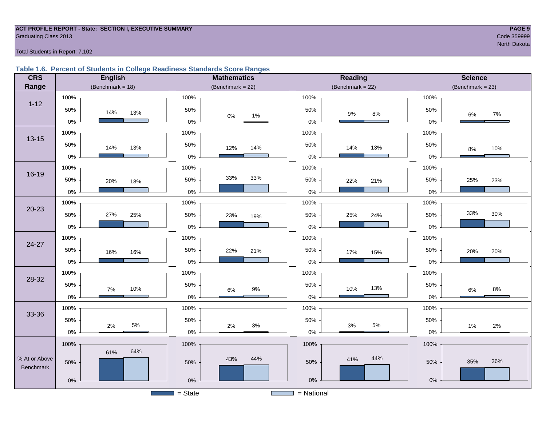#### **ACT PROFILE REPORT - State: SECTION I, EXECUTIVE SUMMARY PAGE 9 Graduating Class 2013** Code 359999 Code 359999

North Dakota

Total Students in Report: 7,102

#### **Table 1.6. Percent of Students in College Readiness Standards Score Ranges**

| <b>CRS</b>                 | <b>English</b>       | <b>Mathematics</b>      | <b>Reading</b>      | <b>Science</b>       |
|----------------------------|----------------------|-------------------------|---------------------|----------------------|
| Range                      | (Benchmark = $18$ )  | (Benchmark = $22$ )     | (Benchmark = $22$ ) | $(Benchmark = 23)$   |
|                            | 100%                 | 100%                    | 100%                | 100%                 |
| $1 - 12$                   | 50%<br>14%<br>13%    | 50%<br>$0\%$<br>1%      | 50%<br>$9\%$<br>8%  | 50%<br>$7\%$<br>6%   |
|                            | $0\%$                | $0\%$                   | $0\%$               | $0\%$                |
| $13 - 15$                  | 100%                 | 100%                    | 100%                | 100%                 |
|                            | 50%<br>14%<br>13%    | 50%<br>14%<br>12%       | 50%<br>14%<br>13%   | 50%<br>10%<br>$8\%$  |
|                            | $0\%$                | $0\%$                   | 0%                  | 0%                   |
|                            | 100%                 | 100%                    | 100%                | 100%                 |
| 16-19                      | 50%<br>20%<br>18%    | 33%<br>33%<br>50%       | 50%<br>22%<br>21%   | 25%<br>50%<br>23%    |
|                            | $0\%$                | $0\%$                   | $0\%$               | 0%                   |
|                            | 100%                 | 100%                    | 100%                | 100%                 |
| $20 - 23$                  | 27%<br>50%<br>25%    | 50%<br>23%<br>19%       | 50%<br>25%<br>24%   | 33%<br>30%<br>50%    |
|                            | $0\%$                | $0\%$                   | $0\%$               | 0%                   |
|                            | 100%                 | 100%                    | 100%                | 100%                 |
| 24-27                      | 50%<br>16%<br>16%    | 50%<br>22%<br>21%       | 50%<br>17%<br>15%   | 50%<br>20%<br>20%    |
|                            | 0%                   | $0\%$                   | $0\%$               | 0%                   |
|                            | 100%                 | 100%                    | 100%                | 100%                 |
| 28-32                      | 50%<br>10%           | 50%                     | 50%<br>13%<br>10%   | 50%                  |
|                            | 7%<br>0%             | $9\%$<br>$6\%$<br>$0\%$ | $0\%$               | $8\%$<br>6%<br>$0\%$ |
|                            | 100%                 | 100%                    | 100%                | 100%                 |
| 33-36                      | 50%                  | 50%                     | 50%                 | 50%                  |
|                            | $5\%$<br>2%<br>$0\%$ | $3%$<br>2%<br>$0\%$     | 5%<br>3%<br>0%      | 2%<br>1%<br>$0\%$    |
|                            | 100%                 | 100%                    | 100%                | 100%                 |
|                            | 64%<br>61%           |                         |                     |                      |
| % At or Above<br>Benchmark | 50%                  | 44%<br>43%<br>50%       | 44%<br>41%<br>50%   | 36%<br>35%<br>50%    |
|                            | $0\%$                | $0\%$                   | $0\%$               | $0\%$                |
|                            |                      |                         |                     |                      |
|                            |                      | $=$ State               | $=$ National        |                      |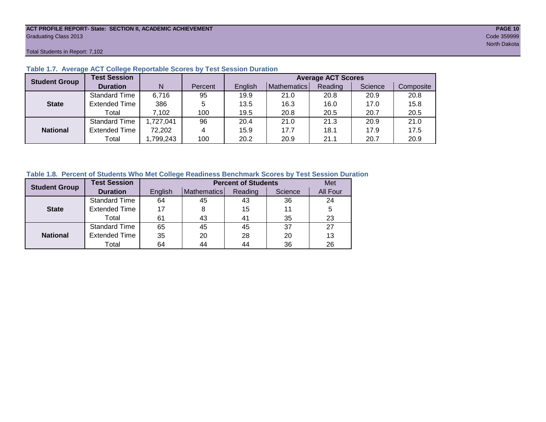#### **ACT PROFILE REPORT- State: SECTION II, ACADEMIC ACHIEVEMENT PAGE 10** Graduating Class 2013 Code 359999

Total Students in Report: 7,102

| <b>Student Group</b> | <b>Test Session</b>  |          |         | <b>Average ACT Scores</b> |             |         |         |           |  |  |  |  |  |
|----------------------|----------------------|----------|---------|---------------------------|-------------|---------|---------|-----------|--|--|--|--|--|
|                      | <b>Duration</b>      | N        | Percent | English                   | Mathematics | Reading | Science | Composite |  |  |  |  |  |
|                      | <b>Standard Time</b> | 6,716    | 95      | 19.9                      | 21.0        | 20.8    | 20.9    | 20.8      |  |  |  |  |  |
| <b>State</b>         | <b>Extended Time</b> | 386      | 5       | 13.5                      | 16.3        | 16.0    | 17.0    | 15.8      |  |  |  |  |  |
|                      | Total                | 7,102    | 100     | 19.5                      | 20.8        | 20.5    | 20.7    | 20.5      |  |  |  |  |  |
|                      | <b>Standard Time</b> | ,727,041 | 96      | 20.4                      | 21.0        | 21.3    | 20.9    | 21.0      |  |  |  |  |  |
| <b>National</b>      | <b>Extended Time</b> | 72,202   | 4       | 15.9                      | 17.7        | 18.1    | 17.9    | 17.5      |  |  |  |  |  |
|                      | Total                | ,799,243 | 100     | 20.2                      | 20.9        | 21.1    | 20.7    | 20.9      |  |  |  |  |  |

#### **Table 1.7. Average ACT College Reportable Scores by Test Session Duration**

#### **Table 1.8. Percent of Students Who Met College Readiness Benchmark Scores by Test Session Duration**

| <b>Student Group</b> | <b>Test Session</b>  |         | <b>Percent of Students</b> | Met     |         |          |
|----------------------|----------------------|---------|----------------------------|---------|---------|----------|
|                      | <b>Duration</b>      | English | Mathematics                | Reading | Science | All Four |
|                      | <b>Standard Time</b> | 64      | 45                         | 43      | 36      | 24       |
| <b>State</b>         | <b>Extended Time</b> | 17      |                            | 15      | 11      | 5        |
|                      | Total                | 61      | 43                         | 41      | 35      | 23       |
|                      | <b>Standard Time</b> | 65      | 45                         | 45      | 37      | 27       |
| <b>National</b>      | <b>Extended Time</b> | 35      | 20                         | 28      | 20      | 13       |
|                      | Total                | 64      | 44                         | 44      | 36      | 26       |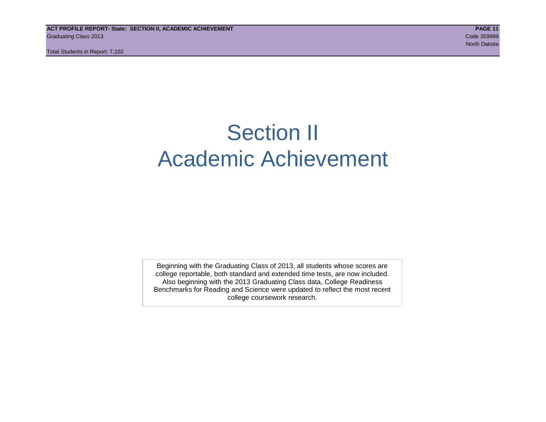Total Students in Report: 7,102

## Section II Academic Achievement

Beginning with the Graduating Class of 2013, all students whose scores are college reportable, both standard and extended time tests, are now included. Also beginning with the 2013 Graduating Class data, College Readiness Benchmarks for Reading and Science were updated to reflect the most recent college coursework research.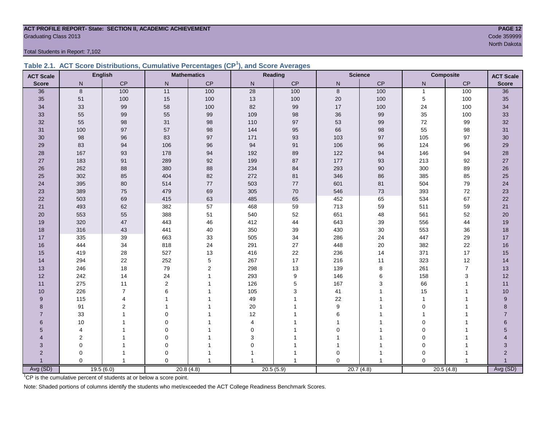## **ACT PROFILE REPORT- State: SECTION II, ACADEMIC ACHIEVEMENT PAGE 12** Graduating Class 2013 Code 359999

Total Students in Report: 7,102

|  | Table 2.1. ACT Score Distributions, Cumulative Percentages (CP <sup>1</sup> ), and Score Averages |  |  |  |
|--|---------------------------------------------------------------------------------------------------|--|--|--|
|  |                                                                                                   |  |  |  |

| <b>ACT Scale</b> |                | <b>English</b> |                | <b>Mathematics</b> |                 | Reading   |             | <b>Science</b> | <b>Composite</b> |                | <b>ACT Scale</b> |
|------------------|----------------|----------------|----------------|--------------------|-----------------|-----------|-------------|----------------|------------------|----------------|------------------|
| <b>Score</b>     | N              | CP             | $\mathsf{N}$   | $\mathsf{CP}$      | ${\sf N}$       | CP        | ${\sf N}$   | CP             | N                | $\mathsf{CP}$  | <b>Score</b>     |
| 36               | 8              | 100            | 11             | 100                | $\overline{28}$ | 100       | 8           | 100            | $\mathbf{1}$     | 100            | $\overline{36}$  |
| 35               | 51             | 100            | $15\,$         | 100                | $13$            | 100       | $20\,$      | 100            | 5                | 100            | 35               |
| 34               | 33             | 99             | 58             | 100                | 82              | 99        | 17          | 100            | 24               | 100            | 34               |
| 33               | 55             | 99             | 55             | 99                 | 109             | 98        | 36          | 99             | 35               | 100            | 33               |
| 32               | 55             | 98             | 31             | $98\,$             | 110             | 97        | 53          | 99             | $72\,$           | 99             | 32               |
| 31               | 100            | 97             | 57             | 98                 | 144             | 95        | 66          | 98             | 55               | 98             | 31               |
| 30               | 98             | 96             | 83             | $97\,$             | 171             | 93        | 103         | $97\,$         | 105              | 97             | 30               |
| 29               | 83             | 94             | 106            | 96                 | 94              | 91        | 106         | 96             | 124              | 96             | 29               |
| 28               | 167            | 93             | 178            | 94                 | 192             | 89        | 122         | 94             | 146              | 94             | 28               |
| 27               | 183            | 91             | 289            | 92                 | 199             | 87        | 177         | 93             | 213              | 92             | 27               |
| 26               | 262            | 88             | 380            | 88                 | 234             | 84        | 293         | $90\,$         | 300              | 89             | 26               |
| 25               | 302            | 85             | 404            | 82                 | 272             | 81        | 346         | 86             | 385              | 85             | 25               |
| 24               | 395            | 80             | 514            | 77                 | 503             | 77        | 601         | 81             | 504              | 79             | 24               |
| 23               | 389            | 75             | 479            | 69                 | 305             | 70        | 546         | 73             | 393              | 72             | 23               |
| 22               | 503            | 69             | 415            | 63                 | 485             | 65        | 452         | 65             | 534              | 67             | 22               |
| 21               | 493            | 62             | 382            | 57                 | 468             | 59        | 713         | 59             | 511              | 59             | 21               |
| 20               | 553            | 55             | 388            | 51                 | 540             | 52        | 651         | 48             | 561              | 52             | 20               |
| 19               | 320            | 47             | 443            | 46                 | 412             | 44        | 643         | 39             | 556              | 44             | 19               |
| 18               | 316            | 43             | 441            | 40                 | 350             | 39        | 430         | 30             | 553              | 36             | 18               |
| 17               | 335            | 39             | 663            | 33                 | 505             | 34        | 286         | 24             | 447              | 29             | 17               |
| 16               | 444            | 34             | 818            | 24                 | 291             | 27        | 448         | 20             | 382              | 22             | 16               |
| 15               | 419            | 28             | 527            | 13                 | 416             | 22        | 236         | 14             | 371              | 17             | 15               |
| 14               | 294            | 22             | 252            | $\mathbf 5$        | 267             | 17        | 216         | 11             | 323              | 12             | 14               |
| 13               | 246            | 18             | 79             | $\sqrt{2}$         | 298             | 13        | 139         | 8              | 261              | $\overline{7}$ | 13               |
| 12               | 242            | 14             | 24             | $\overline{1}$     | 293             | 9         | 146         | 6              | 158              | 3              | 12               |
| 11               | 275            | 11             | $\overline{2}$ |                    | 126             | 5         | 167         | 3              | 66               | $\mathbf{1}$   | 11               |
| 10               | 226            | $\overline{7}$ | 6              |                    | 105             | 3         | 41          | 1              | 15               | $\mathbf{1}$   | 10               |
| 9                | 115            | 4              |                |                    | 49              |           | 22          | 1              | $\mathbf{1}$     |                | 9                |
| 8                | 91             | 2              |                |                    | 20              |           | 9           |                | $\Omega$         |                | 8                |
| $\overline{7}$   | 33             |                | $\mathbf 0$    |                    | 12              |           | 6           |                |                  |                | $\overline{7}$   |
| 6                | 10             |                | $\Omega$       |                    | 4               |           |             |                | $\mathbf 0$      |                | $6\phantom{a}$   |
| 5                | $\overline{4}$ |                | $\mathbf 0$    |                    | 0               |           | $\Omega$    |                | $\mathbf 0$      | 1              | 5                |
| Δ                | $\overline{c}$ |                | $\mathbf 0$    |                    | 3               |           |             |                | $\mathbf 0$      |                | 4                |
| 3                | $\Omega$       |                | $\mathbf 0$    |                    | 0               |           |             | 1              | $\mathbf 0$      |                | 3                |
| $\overline{2}$   | 0              | 1              | $\mathbf 0$    |                    |                 |           | $\mathbf 0$ | 1              | $\mathbf 0$      |                | $\overline{2}$   |
|                  | $\Omega$       | $\mathbf{1}$   | $\Omega$       | $\mathbf{1}$       | 1               |           | $\Omega$    |                | $\Omega$         | $\overline{1}$ |                  |
| Avg (SD)         |                | 19.5(6.0)      |                | 20.8(4.8)          |                 | 20.5(5.9) |             | 20.7(4.8)      | 20.5(4.8)        |                | Avg (SD)         |

<sup>1</sup>CP is the cumulative percent of students at or below a score point.

Note: Shaded portions of columns identify the students who met/exceeded the ACT College Readiness Benchmark Scores.

North Dakota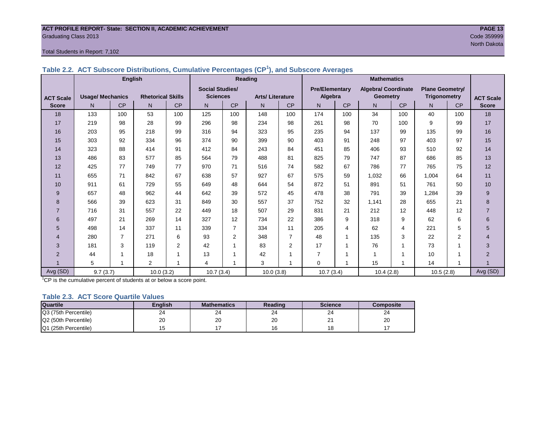#### **ACT PROFILE REPORT- State: SECTION II, ACADEMIC ACHIEVEMENT PAGE 13** Graduating Class 2013 Code 359999

#### Total Students in Report: 7,102

|                  |                         | <b>English</b> |                          |                |                        |                | Reading                |                | <b>Mathematics</b>    |           |                            |     |                        |           |                  |
|------------------|-------------------------|----------------|--------------------------|----------------|------------------------|----------------|------------------------|----------------|-----------------------|-----------|----------------------------|-----|------------------------|-----------|------------------|
|                  |                         |                |                          |                | <b>Social Studies/</b> |                |                        |                | <b>Pre/Elementary</b> |           | <b>Algebra/ Coordinate</b> |     | <b>Plane Geometry/</b> |           |                  |
| <b>ACT Scale</b> | <b>Usage/ Mechanics</b> |                | <b>Rhetorical Skills</b> |                | <b>Sciences</b>        |                | <b>Arts/Literature</b> |                | Algebra               |           | <b>Geometry</b>            |     | <b>Trigonometry</b>    |           | <b>ACT Scale</b> |
| <b>Score</b>     | N.                      | <b>CP</b>      | N                        | CP             | N                      | <b>CP</b>      | N                      | <b>CP</b>      | N.                    | <b>CP</b> | N                          | CP  | N.                     | <b>CP</b> | <b>Score</b>     |
| 18               | 133                     | 100            | 53                       | 100            | 125                    | 100            | 148                    | 100            | 174                   | 100       | 34                         | 100 | 40                     | 100       | 18               |
| 17               | 219                     | 98             | 28                       | 99             | 296                    | 98             | 234                    | 98             | 261                   | 98        | 70                         | 100 | 9                      | 99        | 17               |
| 16               | 203                     | 95             | 218                      | 99             | 316                    | 94             | 323                    | 95             | 235                   | 94        | 137                        | 99  | 135                    | 99        | 16               |
| 15               | 303                     | 92             | 334                      | 96             | 374                    | 90             | 399                    | 90             | 403                   | 91        | 248                        | 97  | 403                    | 97        | 15               |
| 14               | 323                     | 88             | 414                      | 91             | 412                    | 84             | 243                    | 84             | 451                   | 85        | 406                        | 93  | 510                    | 92        | 14               |
| 13               | 486                     | 83             | 577                      | 85             | 564                    | 79             | 488                    | 81             | 825                   | 79        | 747                        | 87  | 686                    | 85        | 13               |
| 12               | 425                     | 77             | 749                      | 77             | 970                    | 71             | 516                    | 74             | 582                   | 67        | 786                        | 77  | 765                    | 75        | 12               |
| 11               | 655                     | 71             | 842                      | 67             | 638                    | 57             | 927                    | 67             | 575                   | 59        | 1,032                      | 66  | 1,004                  | 64        | 11               |
| 10               | 911                     | 61             | 729                      | 55             | 649                    | 48             | 644                    | 54             | 872                   | 51        | 891                        | 51  | 761                    | 50        | 10               |
| 9                | 657                     | 48             | 962                      | 44             | 642                    | 39             | 572                    | 45             | 478                   | 38        | 791                        | 39  | 1,284                  | 39        | 9                |
| 8                | 566                     | 39             | 623                      | 31             | 849                    | 30             | 557                    | 37             | 752                   | 32        | 1.141                      | 28  | 655                    | 21        | 8                |
| $\overline{7}$   | 716                     | 31             | 557                      | 22             | 449                    | 18             | 507                    | 29             | 831                   | 21        | 212                        | 12  | 448                    | 12        | $\overline{7}$   |
| 6                | 497                     | 21             | 269                      | 14             | 327                    | 12             | 734                    | 22             | 386                   | 9         | 318                        | 9   | 62                     | 6         | 6                |
| 5                | 498                     | 14             | 337                      | 11             | 339                    | $\overline{7}$ | 334                    | 11             | 205                   | 4         | 62                         | 4   | 221                    | 5         | 5                |
| 4                | 280                     | $\overline{7}$ | 271                      | 6              | 93                     | $\overline{2}$ | 348                    | $\overline{7}$ | 48                    | 1         | 135                        | 3   | 22                     | 2         | 4                |
| 3                | 181                     | 3              | 119                      | $\overline{2}$ | 42                     |                | 83                     | 2              | 17                    | 1         | 76                         | 1   | 73                     | 1         | 3                |
| $\overline{2}$   | 44                      |                | 18                       |                | 13                     |                | 42                     | 1              |                       |           |                            | 1   | 10                     |           | $\overline{2}$   |
|                  | 5                       |                | 2                        |                | 4                      |                | 3                      | 1              | $\Omega$              |           | 15                         | 1   | 14                     |           |                  |
| Avg (SD)         | 9.7(3.7)                |                | 10.0(3.2)                |                | 10.7(3.4)              |                | 10.0(3.8)              |                | 10.7(3.4)             |           | 10.4(2.8)                  |     | 10.5(2.8)              |           | Avg (SD)         |

**Table 2.2. ACT Subscore Distributions, Cumulative Percentages (CP<sup>1</sup> ), and Subscore Averages**

 $1$ <sup>-1</sup>CP is the cumulative percent of students at or below a score point.

#### **Table 2.3. ACT Score Quartile Values**

| <b>Quartile</b>      | Enalish | <b>Mathematics</b> | Reading      | <b>Science</b> | Composite |
|----------------------|---------|--------------------|--------------|----------------|-----------|
| Q3 (75th Percentile) | 24      | 24                 | $\sim$<br>24 | 24             | 24        |
| Q2 (50th Percentile) | 20      | 20                 | oc<br>۷J     | <u>_</u>       | 20        |
| Q1 (25th Percentile) |         |                    |              | 18             |           |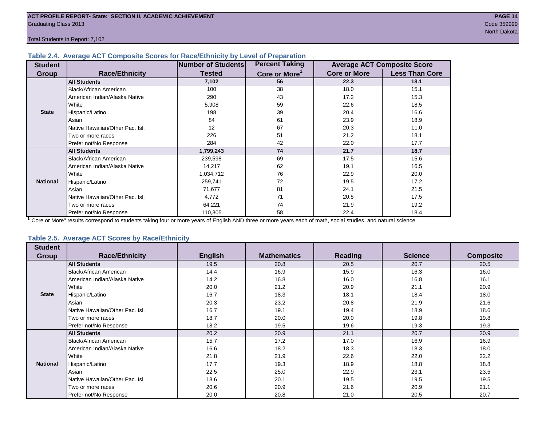Total Students in Report: 7,102

#### **Table 2.4. Average ACT Composite Scores for Race/Ethnicity by Level of Preparation**

| <b>Student</b>  |                                 | Number of Students | <b>Percent Taking</b>     |                     | <b>Average ACT Composite Score</b> |
|-----------------|---------------------------------|--------------------|---------------------------|---------------------|------------------------------------|
| <b>Group</b>    | <b>Race/Ethnicity</b>           | <b>Tested</b>      | Core or More <sup>1</sup> | <b>Core or More</b> | <b>Less Than Core</b>              |
|                 | <b>All Students</b>             | 7,102              | 56                        | 22.3                | 18.1                               |
|                 | <b>Black/African American</b>   | 100                | 38                        | 18.0                | 15.1                               |
|                 | American Indian/Alaska Native   | 290                | 43                        | 17.2                | 15.3                               |
|                 | White                           | 5,908              | 59                        | 22.6                | 18.5                               |
| <b>State</b>    | Hispanic/Latino                 | 198                | 39                        | 20.4                | 16.6                               |
|                 | Asian                           | 84                 | 61                        | 23.9                | 18.9                               |
|                 | Native Hawaiian/Other Pac. Isl. | 12                 | 67                        | 20.3                | 11.0                               |
|                 | Two or more races               | 226                | 51                        | 21.2                | 18.1                               |
|                 | Prefer not/No Response          | 284                | 42                        | 22.0                | 17.7                               |
|                 | <b>All Students</b>             | 1,799,243          | 74                        | 21.7                | 18.7                               |
|                 | Black/African American          | 239,598            | 69                        | 17.5                | 15.6                               |
|                 | American Indian/Alaska Native   | 14,217             | 62                        | 19.1                | 16.5                               |
|                 | White                           | 1,034,712          | 76                        | 22.9                | 20.0                               |
| <b>National</b> | Hispanic/Latino                 | 259,741            | 72                        | 19.5                | 17.2                               |
|                 | Asian                           | 71,677             | 81                        | 24.1                | 21.5                               |
|                 | Native Hawaiian/Other Pac. Isl. | 4,772              | 71                        | 20.5                | 17.5                               |
|                 | Two or more races               | 64,221             | 74                        | 21.9                | 19.2                               |
|                 | Prefer not/No Response          | 110,305            | 58                        | 22.4                | 18.4                               |

<sup>1</sup>"Core or More" results correspond to students taking four or more years of English AND three or more years each of math, social studies, and natural science.

#### **Table 2.5. Average ACT Scores by Race/Ethnicity**

| <b>Student</b>  |                                 |                |                    |                |                |                  |
|-----------------|---------------------------------|----------------|--------------------|----------------|----------------|------------------|
| Group           | <b>Race/Ethnicity</b>           | <b>English</b> | <b>Mathematics</b> | <b>Reading</b> | <b>Science</b> | <b>Composite</b> |
|                 | <b>All Students</b>             | 19.5           | 20.8               | 20.5           | 20.7           | 20.5             |
|                 | Black/African American          | 14.4           | 16.9               | 15.9           | 16.3           | 16.0             |
|                 | American Indian/Alaska Native   | 14.2           | 16.8               | 16.0           | 16.8           | 16.1             |
|                 | White                           | 20.0           | 21.2               | 20.9           | 21.1           | 20.9             |
| <b>State</b>    | Hispanic/Latino                 | 16.7           | 18.3               | 18.1           | 18.4           | 18.0             |
|                 | Asian                           | 20.3           | 23.2               | 20.8           | 21.9           | 21.6             |
|                 | Native Hawaiian/Other Pac. Isl. | 16.7           | 19.1               | 19.4           | 18.9           | 18.6             |
|                 | Two or more races               | 18.7           | 20.0               | 20.0           | 19.8           | 19.8             |
|                 | Prefer not/No Response          | 18.2           | 19.5               | 19.6           | 19.3           | 19.3             |
|                 | <b>All Students</b>             | 20.2           | 20.9               | 21.1           | 20.7           | 20.9             |
|                 | Black/African American          | 15.7           | 17.2               | 17.0           | 16.9           | 16.9             |
|                 | American Indian/Alaska Native   | 16.6           | 18.2               | 18.3           | 18.3           | 18.0             |
|                 | White                           | 21.8           | 21.9               | 22.6           | 22.0           | 22.2             |
| <b>National</b> | Hispanic/Latino                 | 17.7           | 19.3               | 18.9           | 18.8           | 18.8             |
|                 | Asian                           | 22.5           | 25.0               | 22.9           | 23.1           | 23.5             |
|                 | Native Hawaiian/Other Pac. Isl. | 18.6           | 20.1               | 19.5           | 19.5           | 19.5             |
|                 | Two or more races               | 20.6           | 20.9               | 21.6           | 20.9           | 21.1             |
|                 | Prefer not/No Response          | 20.0           | 20.8               | 21.0           | 20.5           | 20.7             |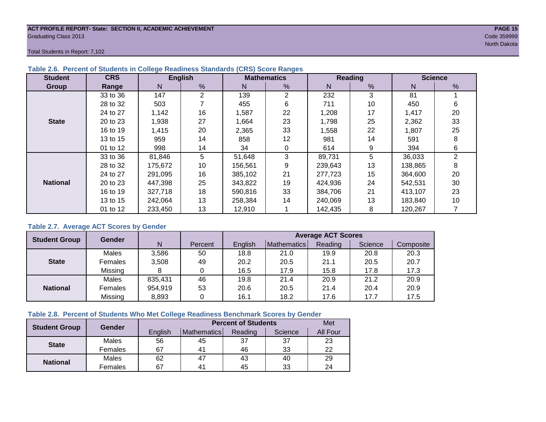#### **ACT PROFILE REPORT- State: SECTION II, ACADEMIC ACHIEVEMENT PAGE 15** Graduating Class 2013 Code 359999

North Dakota

Total Students in Report: 7,102

| <b>Student</b>  | <b>CRS</b> |         | <b>English</b> |         | <b>Mathematics</b> |         | <b>Reading</b> |         | <b>Science</b> |
|-----------------|------------|---------|----------------|---------|--------------------|---------|----------------|---------|----------------|
| Group           | Range      | N       | %              | N       | %                  | N       | %              | N       | %              |
|                 | 33 to 36   | 147     | $\overline{2}$ | 139     | $\overline{2}$     | 232     | 3              | 81      |                |
|                 | 28 to 32   | 503     |                | 455     | 6                  | 711     | 10             | 450     | 6              |
|                 | 24 to 27   | 1,142   | 16             | 1,587   | 22                 | 1,208   | 17             | 1,417   | 20             |
| <b>State</b>    | 20 to 23   | 1,938   | 27             | 1,664   | 23                 | 1,798   | 25             | 2,362   | 33             |
|                 | 16 to 19   | 1,415   | 20             | 2,365   | 33                 | 1,558   | 22             | 1,807   | 25             |
|                 | 13 to 15   | 959     | 14             | 858     | 12                 | 981     | 14             | 591     | 8              |
|                 | 01 to 12   | 998     | 14             | 34      | 0                  | 614     | 9              | 394     | 6              |
|                 | 33 to 36   | 81,846  | 5              | 51,648  | 3                  | 89,731  | 5              | 36,033  | $\overline{2}$ |
|                 | 28 to 32   | 175,672 | 10             | 156,561 | 9                  | 239,643 | 13             | 138,865 | 8              |
|                 | 24 to 27   | 291,095 | 16             | 385,102 | 21                 | 277,723 | 15             | 364,600 | 20             |
| <b>National</b> | 20 to 23   | 447,398 | 25             | 343,822 | 19                 | 424,936 | 24             | 542,531 | 30             |
|                 | 16 to 19   | 327,718 | 18             | 590,816 | 33                 | 384.706 | 21             | 413,107 | 23             |
|                 | 13 to 15   | 242.064 | 13             | 258.384 | 14                 | 240,069 | 13             | 183.840 | 10             |
|                 | 01 to 12   | 233,450 | 13             | 12,910  |                    | 142,435 | 8              | 120,267 |                |

#### **Table 2.6. Percent of Students in College Readiness Standards (CRS) Score Ranges**

#### **Table 2.7. Average ACT Scores by Gender**

| <b>Student Group</b> | <b>Gender</b> |         |         | <b>Average ACT Scores</b> |             |         |         |           |  |  |  |  |
|----------------------|---------------|---------|---------|---------------------------|-------------|---------|---------|-----------|--|--|--|--|
|                      |               | N       | Percent | Enalish                   | Mathematics | Reading | Science | Composite |  |  |  |  |
|                      | Males         | 3,586   | 50      | 18.8                      | 21.0        | 19.9    | 20.8    | 20.3      |  |  |  |  |
| <b>State</b>         | Females       | 3,508   | 49      | 20.2                      | 20.5        | 21.1    | 20.5    | 20.7      |  |  |  |  |
|                      | Missing       |         |         | 16.5                      | 17.9        | 15.8    | 17.8    | 17.3      |  |  |  |  |
|                      | Males         | 835,431 | 46      | 19.8                      | 21.4        | 20.9    | 21.2    | 20.9      |  |  |  |  |
| <b>National</b>      | Females       | 954,919 | 53      | 20.6                      | 20.5        | 21.4    | 20.4    | 20.9      |  |  |  |  |
|                      | Missing       | 8,893   | 0       | 16.1                      | 18.2        | 17.6    | 17.7    | 17.5      |  |  |  |  |

#### **Table 2.8. Percent of Students Who Met College Readiness Benchmark Scores by Gender**

| <b>Student Group</b> | Gender  |         | Met            |         |         |                 |
|----------------------|---------|---------|----------------|---------|---------|-----------------|
|                      |         | English | Mathematics    | Reading | Science | <b>All Four</b> |
| <b>State</b>         | Males   | 56      | 45             | -37     | 37      | 23              |
|                      | Females | 67      | 4 <sup>1</sup> | 46      | 33      | 22              |
| <b>National</b>      | Males   | 62      | 47             | 43      | 40      | 29              |
|                      | Females | 67      | 4 <sup>1</sup> | 45      | 33      | 24              |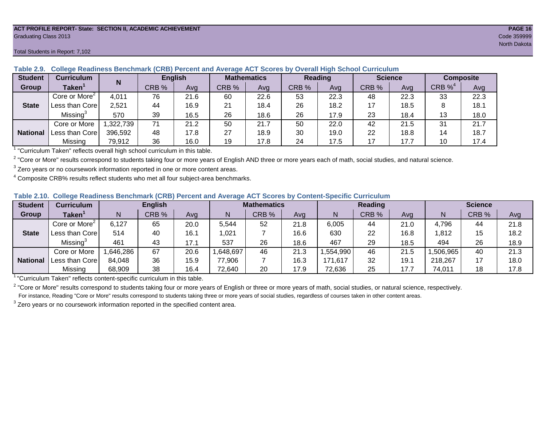#### **ACT PROFILE REPORT- State: SECTION II, ACADEMIC ACHIEVEMENT PAGE 16** Graduating Class 2013 Code 359999

#### Total Students in Report: 7,102

| <b>Student</b>  | <b>Curriculum</b>         |          | <b>English</b> |      | <b>Mathematics</b> |      | <b>Reading</b> |      | <b>Science</b> |      | Composite             |      |
|-----------------|---------------------------|----------|----------------|------|--------------------|------|----------------|------|----------------|------|-----------------------|------|
| Group           | $\mathsf{Taken}^1$        | N        | CRB %          | Avg  | CRB %              | Avg  | CRB %          | Avg  | CRB %          | Ava  | $CRB \%$ <sup>4</sup> | Avg  |
|                 | Core or More <sup>2</sup> | 4,011    | 76             | 21.6 | 60                 | 22.6 | 53             | 22.3 | 48             | 22.3 | 33                    | 22.3 |
| <b>State</b>    | Less than Corel           | 2,521    | 44             | 16.9 | 21                 | 18.4 | 26             | 18.2 | 17             | 18.5 |                       | 18.1 |
|                 | Missing <sup>3</sup>      | 570      | 39             | 16.5 | 26                 | 18.6 | 26             | 17.9 | 23             | 18.4 | 13                    | 18.0 |
|                 | Core or More              | ,322,739 | 71             | 21.2 | 50                 | 21.7 | 50             | 22.0 | 42             | 21.5 | 31                    | 21.7 |
| <b>National</b> | Less than Corel           | 396,592  | 48             | 17.8 | 27                 | 18.9 | 30             | 19.0 | 22             | 18.8 | 14                    | 18.7 |
|                 | Missing                   | 79,912   | 36             | 16.0 | 19                 | 17.8 | 24             | 17.5 | 17             | 17.7 | 10                    | 17.4 |

**Table 2.9. College Readiness Benchmark (CRB) Percent and Average ACT Scores by Overall High School Curriculum**

1 "Curriculum Taken" reflects overall high school curriculum in this table.

 $^2$  "Core or More" results correspond to students taking four or more years of English AND three or more years each of math, social studies, and natural science.

 $3$  Zero years or no coursework information reported in one or more content areas.

 $4$  Composite CRB% results reflect students who met all four subject-area benchmarks.

|  |  |  |  |  | Table 2.10. College Readiness Benchmark (CRB) Percent and Average ACT Scores by Content-Specific Curriculum |
|--|--|--|--|--|-------------------------------------------------------------------------------------------------------------|
|--|--|--|--|--|-------------------------------------------------------------------------------------------------------------|

| <b>Student</b>  | Curriculum                |          | <b>English</b> |      |          | <b>Mathematics</b> |      |          | <b>Reading</b> |      |          | <b>Science</b> |      |  |
|-----------------|---------------------------|----------|----------------|------|----------|--------------------|------|----------|----------------|------|----------|----------------|------|--|
| Group           | <b>Taken</b>              |          | CRB %          | Avg  |          | CRB %              | Avg  | N        | CRB %          | Avg  | N        | CRB %          | Avg  |  |
|                 | Core or More <sup>2</sup> | 6,127    | 65             | 20.0 | 5,544    | 52                 | 21.8 | 6,005    | 44             | 21.0 | 4,796    | 44             | 21.8 |  |
| <b>State</b>    | Less than Core            | 514      | 40             | 16.1 | 1,021    |                    | 16.6 | 630      | 22             | 16.8 | 1,812    | 15             | 18.2 |  |
|                 | Missing <sup>3</sup>      | 461      | 43             | 17.1 | 537      | 26                 | 18.6 | 467      | 29             | 18.5 | 494      | 26             | 18.9 |  |
|                 | Core or More              | ,646,286 | 67             | 20.6 | .648,697 | 46                 | 21.3 | .554.990 | 46             | 21.5 | .506,965 | 40             | 21.3 |  |
| <b>National</b> | Less than Core            | 84,048   | 36             | 15.9 | 77,906   |                    | 16.3 | 171.617  | 32             | 19.1 | 218,267  |                | 18.0 |  |
|                 | Missing                   | 68,909   | 38             | 16.4 | 72,640   | 20                 | 17.9 | 72,636   | 25             | 17.7 | 74,011   | 18             | 17.8 |  |

<sup>1</sup>"Curriculum Taken" reflects content-specific curriculum in this table.

<sup>2</sup> "Core or More" results correspond to students taking four or more years of English or three or more years of math, social studies, or natural science, respectively. For instance, Reading "Core or More" results correspond to students taking three or more years of social studies, regardless of courses taken in other content areas.

 $3$  Zero years or no coursework information reported in the specified content area.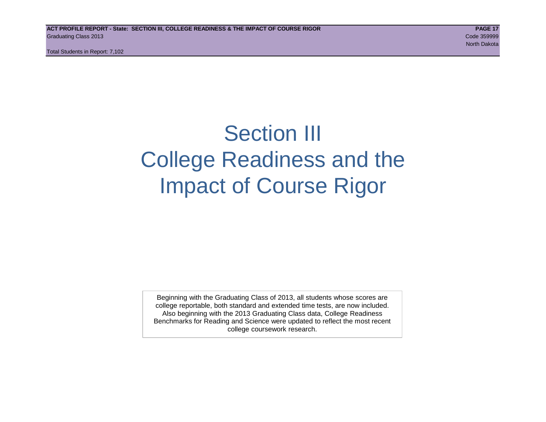Total Students in Report: 7,102

## Section III College Readiness and the Impact of Course Rigor

Beginning with the Graduating Class of 2013, all students whose scores are college reportable, both standard and extended time tests, are now included. Also beginning with the 2013 Graduating Class data, College Readiness Benchmarks for Reading and Science were updated to reflect the most recent college coursework research.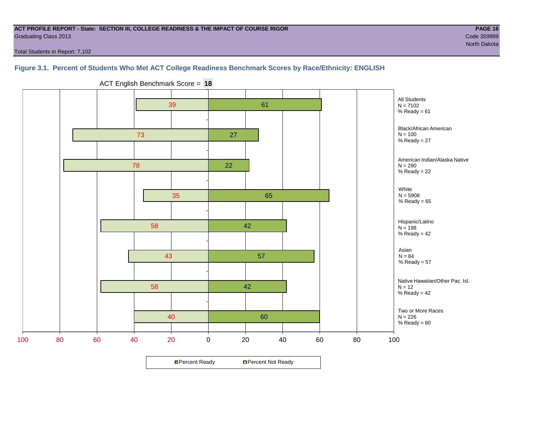#### **ACT PROFILE REPORT - State: SECTION III, COLLEGE READINESS & THE IMPACT OF COURSE RIGOR PAGE 18** Graduating Class 2013 Code 359999

Total Students in Report: 7,102

### **Figure 3.1. Percent of Students Who Met ACT College Readiness Benchmark Scores by Race/Ethnicity: ENGLISH**



ACT English Benchmark Score = **18**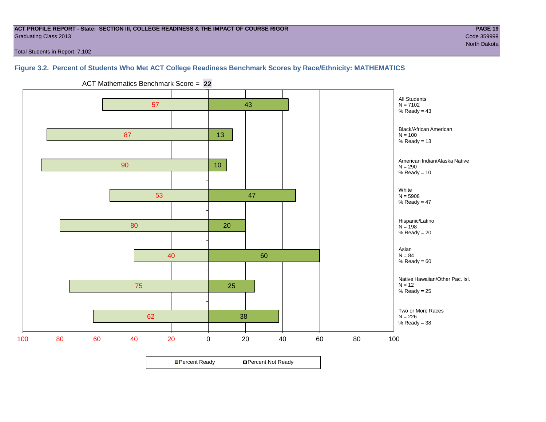#### **ACT PROFILE REPORT - State: SECTION III, COLLEGE READINESS & THE IMPACT OF COURSE RIGOR PAGE 19** Graduating Class 2013 Code 359999

Total Students in Report: 7,102

#### **Figure 3.2. Percent of Students Who Met ACT College Readiness Benchmark Scores by Race/Ethnicity: MATHEMATICS**



ACT Mathematics Benchmark Score = **22**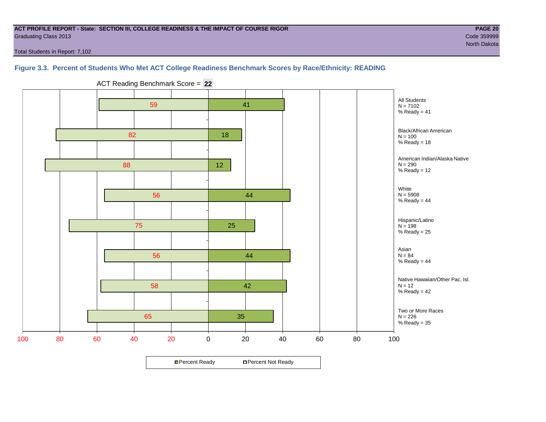#### **ACT PROFILE REPORT - State: SECTION III, COLLEGE READINESS & THE IMPACT OF COURSE RIGOR PAGE 20** Graduating Class 2013 Code 359999

Total Students in Report: 7,102

#### **Figure 3.3. Percent of Students Who Met ACT College Readiness Benchmark Scores by Race/Ethnicity: READING**



ACT Reading Benchmark Score = **22**

**□ Percent Ready DPercent Not Ready**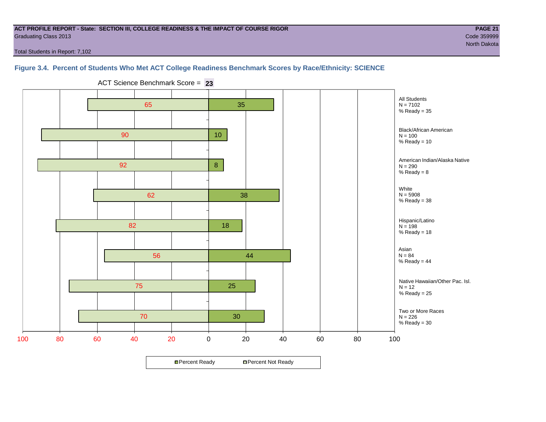#### **ACT PROFILE REPORT - State: SECTION III, COLLEGE READINESS & THE IMPACT OF COURSE RIGOR PAGE 21** Graduating Class 2013 Code 359999

North Dakota

Total Students in Report: 7,102

#### **Figure 3.4. Percent of Students Who Met ACT College Readiness Benchmark Scores by Race/Ethnicity: SCIENCE**



ACT Science Benchmark Score = **23**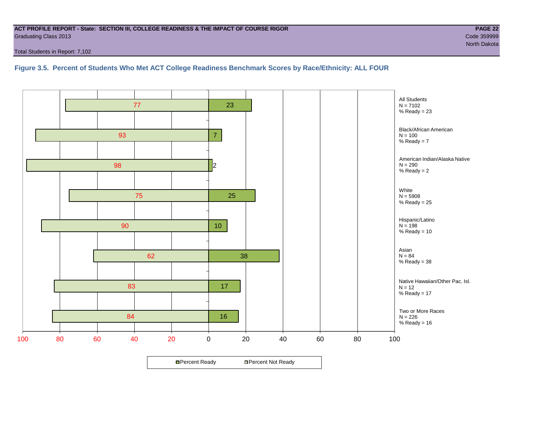#### **ACT PROFILE REPORT - State: SECTION III, COLLEGE READINESS & THE IMPACT OF COURSE RIGOR PAGE 22** Graduating Class 2013 Code 359999

Total Students in Report: 7,102

#### **Figure 3.5. Percent of Students Who Met ACT College Readiness Benchmark Scores by Race/Ethnicity: ALL FOUR**

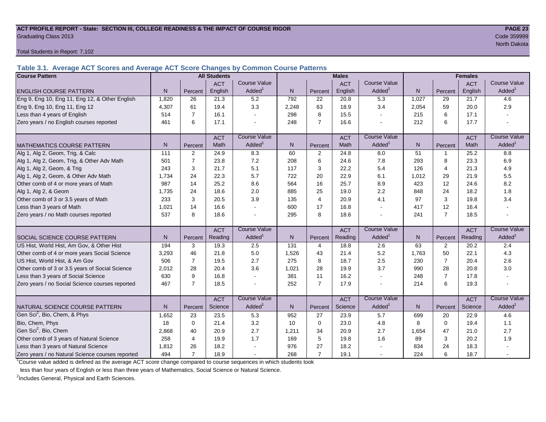#### **ACT PROFILE REPORT - State: SECTION III, COLLEGE READINESS & THE IMPACT OF COURSE RIGOR PAGE 23** Graduating Class 2013 Code 359999

Total Students in Report: 7,102

**Table 3.1. Average ACT Scores and Average ACT Score Changes by Common Course Patterns**

| <b>Course Pattern</b>                            |                   |                | <b>All Students</b> |                     |                |                | <b>Males</b> |                     |              | <b>Females</b> |            |                        |
|--------------------------------------------------|-------------------|----------------|---------------------|---------------------|----------------|----------------|--------------|---------------------|--------------|----------------|------------|------------------------|
|                                                  |                   |                | <b>ACT</b>          | <b>Course Value</b> |                |                | <b>ACT</b>   | <b>Course Value</b> |              |                | <b>ACT</b> | <b>Course Value</b>    |
| <b>ENGLISH COURSE PATTERN</b>                    | N.                | Percent        | English             | Added <sup>1</sup>  | $\mathsf{N}$   | Percent        | English      | Added <sup>1</sup>  | $\mathsf{N}$ | Percent        | English    | A d d e d <sup>1</sup> |
| Eng 9, Eng 10, Eng 11, Eng 12, & Other English   | 1,820             | 26             | 21.3                | 5.2                 | 792            | 22             | 20.8         | 5.3                 | 1,027        | 29             | 21.7       | 4.6                    |
| Eng 9, Eng 10, Eng 11, Eng 12                    | 4,307             | 61             | 19.4                | 3.3                 | 2,248          | 63             | 18.9         | 3.4                 | 2,054        | 59             | 20.0       | 2.9                    |
| Less than 4 years of English                     | 514               | $\overline{7}$ | 16.1                |                     | 298            | 8              | 15.5         | $\blacksquare$      | 215          | 6              | 17.1       |                        |
| Zero years / no English courses reported         | 461               | 6              | 17.1                |                     | 248            | $\overline{7}$ | 16.6         |                     | 212          | 6              | 17.7       |                        |
|                                                  |                   |                | <b>ACT</b>          | <b>Course Value</b> |                |                | <b>ACT</b>   | <b>Course Value</b> |              |                | <b>ACT</b> | <b>Course Value</b>    |
| <b>MATHEMATICS COURSE PATTERN</b>                | N.                | Percent        | Math                | Added <sup>1</sup>  | N <sub>1</sub> | Percent        | Math         | Added <sup>1</sup>  | N            | Percent        | Math       | A d d e d <sup>1</sup> |
| Alg 1, Alg 2, Geom, Trig, & Calc                 | $\frac{111}{111}$ | $\overline{2}$ | 24.9                | 8.3                 | 60             | $\overline{2}$ | 24.8         | 8.0                 | 51           | $\mathbf{1}$   | 25.2       | 8.8                    |
| Alg 1, Alg 2, Geom, Trig, & Other Adv Math       | 501               | $\overline{7}$ | 23.8                | 7.2                 | 208            | 6              | 24.6         | 7.8                 | 293          | 8              | 23.3       | 6.9                    |
| Alg 1, Alg 2, Geom, & Trig                       | 243               | 3              | 21.7                | 5.1                 | 117            | 3              | 22.2         | 5.4                 | 126          | $\overline{4}$ | 21.3       | 4.9                    |
| Alg 1, Alg 2, Geom, & Other Adv Math             | 1,734             | 24             | 22.3                | 5.7                 | 722            | 20             | 22.9         | 6.1                 | 1,012        | 29             | 21.9       | 5.5                    |
| Other comb of 4 or more years of Math            | 987               | 14             | 25.2                | 8.6                 | 564            | 16             | 25.7         | 8.9                 | 423          | 12             | 24.6       | 8.2                    |
| Alg 1, Alg 2, & Geom                             | 1,735             | 24             | 18.6                | 2.0                 | 885            | 25             | 19.0         | 2.2                 | 848          | 24             | 18.2       | 1.8                    |
| Other comb of 3 or 3.5 years of Math             | 233               | 3              | 20.5                | 3.9                 | 135            | $\overline{4}$ | 20.9         | 4.1                 | 97           | 3              | 19.8       | 3.4                    |
| Less than 3 years of Math                        | 1,021             | 14             | 16.6                |                     | 600            | 17             | 16.8         | $\blacksquare$      | 417          | 12             | 16.4       |                        |
| Zero years / no Math courses reported            | 537               | 8              | 18.6                |                     | 295            | 8              | 18.6         | $\blacksquare$      | 241          | $\overline{7}$ | 18.5       |                        |
|                                                  |                   |                | <b>ACT</b>          | <b>Course Value</b> |                |                | <b>ACT</b>   | <b>Course Value</b> |              |                | <b>ACT</b> | <b>Course Value</b>    |
| <b>SOCIAL SCIENCE COURSE PATTERN</b>             | N                 | Percent        | Reading             | Added <sup>1</sup>  | N              | Percent        | Reading      | Added <sup>1</sup>  | N            | Percent        | Reading    | A d d e d <sup>1</sup> |
| US Hist, World Hist, Am Gov, & Other Hist        | 194               | 3              | 19.3                | 2.5                 | 131            | $\overline{4}$ | 18.8         | 2.6                 | 63           | 2              | 20.2       | 2.4                    |
| Other comb of 4 or more years Social Science     | 3,293             | 46             | 21.8                | 5.0                 | 1,526          | 43             | 21.4         | 5.2                 | 1,763        | 50             | 22.1       | 4.3                    |
| US Hist, World Hist, & Am Gov                    | 506               | $\overline{7}$ | 19.5                | 2.7                 | 275            | 8              | 18.7         | 2.5                 | 230          | $\overline{7}$ | 20.4       | 2.6                    |
| Other comb of 3 or 3.5 years of Social Science   | 2,012             | 28             | 20.4                | 3.6                 | 1,021          | 28             | 19.9         | 3.7                 | 990          | 28             | 20.8       | 3.0                    |
| Less than 3 years of Social Science              | 630               | 9              | 16.8                |                     | 381            | 11             | 16.2         | $\sim$              | 248          | $\overline{7}$ | 17.8       |                        |
| Zero years / no Social Science courses reported  | 467               | $\overline{7}$ | 18.5                |                     | 252            | $\overline{7}$ | 17.9         | $\blacksquare$      | 214          | 6              | 19.3       |                        |
|                                                  |                   |                | <b>ACT</b>          | <b>Course Value</b> |                |                | <b>ACT</b>   | <b>Course Value</b> |              |                | <b>ACT</b> | <b>Course Value</b>    |
| NATURAL SCIENCE COURSE PATTERN                   | N.                | Percent        | Science             | Added <sup>1</sup>  | $\mathsf{N}$   | Percent        | Science      | Added <sup>1</sup>  | N            | Percent        | Science    | A d d e d <sup>1</sup> |
| Gen Sci <sup>2</sup> , Bio, Chem, & Phys         | 1,652             | 23             | 23.5                | 5.3                 | 952            | 27             | 23.9         | 5.7                 | 699          | 20             | 22.9       | 4.6                    |
| Bio, Chem, Phys                                  | 18                | $\mathbf 0$    | 21.4                | 3.2                 | 10             | $\mathbf 0$    | 23.0         | 4.8                 | 8            | $\mathbf 0$    | 19.4       | 1.1                    |
| Gen Sci <sup>2</sup> , Bio, Chem                 | 2,868             | 40             | 20.9                | 2.7                 | 1,211          | 34             | 20.9         | 2.7                 | 1,654        | 47             | 21.0       | 2.7                    |
| Other comb of 3 years of Natural Science         | 258               | $\overline{4}$ | 19.9                | 1.7                 | 169            | 5              | 19.8         | 1.6                 | 89           | 3              | 20.2       | 1.9                    |
| Less than 3 years of Natural Science             | 1,812             | 26             | 18.2                |                     | 976            | 27             | 18.2         |                     | 834          | 24             | 18.3       |                        |
| Zero years / no Natural Science courses reported | 494               | $\overline{7}$ | 18.9                |                     | 268            | $\overline{7}$ | 19.1         |                     | 224          | 6              | 18.7       |                        |

<sup>1</sup>Course value added is defined as the average ACT score change compared to course sequences in which students took

less than four years of English or less than three years of Mathematics, Social Science or Natural Science.

<sup>2</sup>Includes General, Physical and Earth Sciences.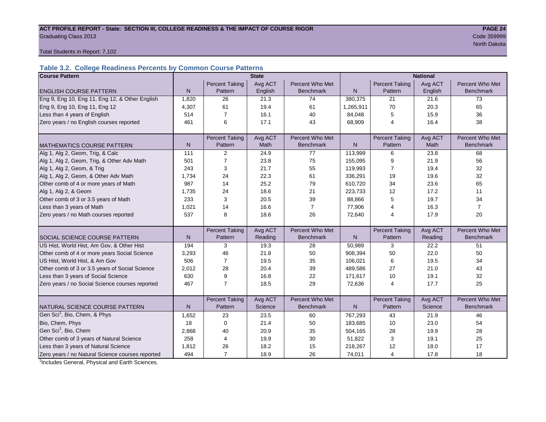#### ACT PROFILE REPORT - State: SECTION III, COLLEGE READINESS & THE IMPACT OF COURSE RIGOR **PAGE 24** Graduating Class 2013 Code 359999

north Dakota and Dakota and Dakota and Dakota and Dakota and Dakota and Dakota and Dakota and Dakota and Dakota

Total Students in Report: 7,102

## **Table 3.2. College Readiness Percents by Common Course Patterns**

| <b>Course Pattern</b>                            |              |                       | <b>State</b> |                  | <b>National</b> |                       |         |                  |  |
|--------------------------------------------------|--------------|-----------------------|--------------|------------------|-----------------|-----------------------|---------|------------------|--|
|                                                  |              | <b>Percent Taking</b> | Avg ACT      | Percent Who Met  |                 | <b>Percent Taking</b> | Avg ACT | Percent Who Met  |  |
| <b>ENGLISH COURSE PATTERN</b>                    | $\mathsf{N}$ | Pattern               | English      | <b>Benchmark</b> | $\mathsf{N}$    | Pattern               | English | <b>Benchmark</b> |  |
| Eng 9, Eng 10, Eng 11, Eng 12, & Other English   | 1.820        | 26                    | 21.3         | 74               | 380,375         | 21                    | 21.6    | 73               |  |
| Eng 9, Eng 10, Eng 11, Eng 12                    | 4,307        | 61                    | 19.4         | 61               | 1,265,911       | 70                    | 20.3    | 65               |  |
| Less than 4 years of English                     | 514          | $\overline{7}$        | 16.1         | 40               | 84,048          | 5                     | 15.9    | 36               |  |
| Zero years / no English courses reported         | 461          | 6                     | 17.1         | 43               | 68,909          | 4                     | 16.4    | 38               |  |
|                                                  |              |                       |              |                  |                 |                       |         |                  |  |
|                                                  |              | <b>Percent Taking</b> | Avg ACT      | Percent Who Met  |                 | <b>Percent Taking</b> | Avg ACT | Percent Who Met  |  |
| <b>MATHEMATICS COURSE PATTERN</b>                | N            | Pattern               | Math         | <b>Benchmark</b> | N               | Pattern               | Math    | <b>Benchmark</b> |  |
| Alg 1, Alg 2, Geom, Trig, & Calc                 | 111          | 2                     | 24.9         | 77               | 113,999         | 6                     | 23.8    | 68               |  |
| Alg 1, Alg 2, Geom, Trig, & Other Adv Math       | 501          | $\overline{7}$        | 23.8         | 75               | 155,095         | 9                     | 21.9    | 56               |  |
| Alg 1, Alg 2, Geom, & Trig                       | 243          | 3                     | 21.7         | 55               | 119,993         | 7                     | 19.4    | 32               |  |
| Alg 1, Alg 2, Geom, & Other Adv Math             | 1,734        | 24                    | 22.3         | 61               | 336,291         | 19                    | 19.6    | 32               |  |
| Other comb of 4 or more years of Math            | 987          | 14                    | 25.2         | 79               | 610,720         | 34                    | 23.6    | 65               |  |
| Alg 1, Alg 2, & Geom                             | 1,735        | 24                    | 18.6         | 21               | 223,733         | 12                    | 17.2    | 11               |  |
| Other comb of 3 or 3.5 years of Math             | 233          | 3                     | 20.5         | 39               | 88,866          | 5                     | 19.7    | 34               |  |
| Less than 3 years of Math                        | 1.021        | 14                    | 16.6         | $\overline{7}$   | 77,906          | 4                     | 16.3    | $\overline{7}$   |  |
| Zero years / no Math courses reported            | 537          | 8                     | 18.6         | 26               | 72,640          | 4                     | 17.9    | 20               |  |
|                                                  |              |                       |              |                  |                 |                       |         |                  |  |
|                                                  |              | <b>Percent Taking</b> | Avg ACT      | Percent Who Met  |                 | <b>Percent Taking</b> | Avg ACT | Percent Who Met  |  |
| SOCIAL SCIENCE COURSE PATTERN                    | $\mathsf{N}$ | Pattern               | Reading      | <b>Benchmark</b> | N               | Pattern               | Reading | <b>Benchmark</b> |  |
| US Hist, World Hist, Am Gov, & Other Hist        | 194          | 3                     | 19.3         | 28               | 50,989          | 3                     | 22.2    | 51               |  |
| Other comb of 4 or more years Social Science     | 3,293        | 46                    | 21.8         | 50               | 908,394         | 50                    | 22.0    | 50               |  |
| US Hist, World Hist, & Am Gov                    | 506          | $\overline{7}$        | 19.5         | 35               | 106,021         | 6                     | 19.5    | 34               |  |
| Other comb of 3 or 3.5 years of Social Science   | 2,012        | 28                    | 20.4         | 39               | 489,586         | 27                    | 21.0    | 43               |  |
| Less than 3 years of Social Science              | 630          | 9                     | 16.8         | 22               | 171,617         | 10                    | 19.1    | 32               |  |
| Zero years / no Social Science courses reported  | 467          | $\overline{7}$        | 18.5         | 29               | 72,636          | 4                     | 17.7    | 25               |  |
|                                                  |              |                       |              |                  |                 |                       |         |                  |  |
|                                                  |              | <b>Percent Taking</b> | Avg ACT      | Percent Who Met  |                 | <b>Percent Taking</b> | Avg ACT | Percent Who Met  |  |
| NATURAL SCIENCE COURSE PATTERN                   | N.           | Pattern               | Science      | <b>Benchmark</b> | N               | Pattern               | Science | <b>Benchmark</b> |  |
| Gen Sci <sup>1</sup> , Bio, Chem, & Phys         | 1,652        | 23                    | 23.5         | 60               | 767,293         | 43                    | 21.9    | 46               |  |
| Bio, Chem, Phys                                  | 18           | $\mathbf 0$           | 21.4         | 50               | 183,685         | 10                    | 23.0    | 54               |  |
| Gen Sci <sup>1</sup> , Bio, Chem                 | 2,868        | 40                    | 20.9         | 35               | 504,165         | 28                    | 19.9    | 28               |  |
| Other comb of 3 years of Natural Science         | 258          | $\overline{4}$        | 19.9         | 30               | 51,822          | 3                     | 19.1    | 25               |  |
| Less than 3 years of Natural Science             | 1,812        | 26                    | 18.2         | 15               | 218,267         | 12                    | 18.0    | 17               |  |
| Zero years / no Natural Science courses reported | 494          | $\overline{7}$        | 18.9         | 26               | 74,011          | 4                     | 17.8    | 18               |  |

<sup>1</sup>Includes General, Physical and Earth Sciences.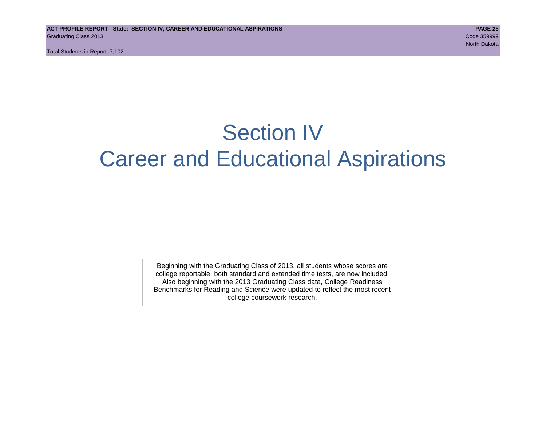Total Students in Report: 7,102

## Section IV Career and Educational Aspirations

Beginning with the Graduating Class of 2013, all students whose scores are college reportable, both standard and extended time tests, are now included. Also beginning with the 2013 Graduating Class data, College Readiness Benchmarks for Reading and Science were updated to reflect the most recent college coursework research.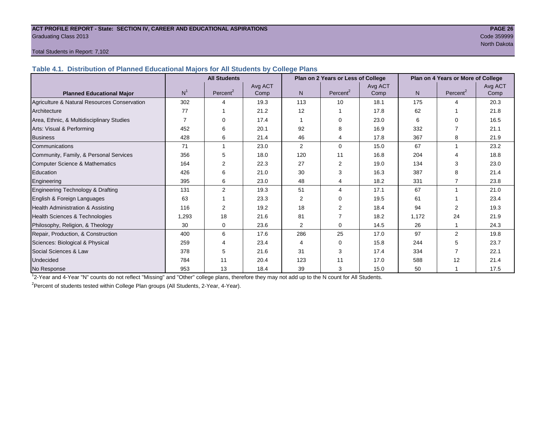#### **ACT PROFILE REPORT - State: SECTION IV, CAREER AND EDUCATIONAL ASPIRATIONS PAGE 26** Graduating Class 2013 Code 359999

North Dakota

#### Total Students in Report: 7,102

**Table 4.1. Distribution of Planned Educational Majors for All Students by College Plans**

|                                              | <b>All Students</b><br>Plan on 2 Years or Less of College |                      |         |                |                      |         | Plan on 4 Years or More of College |                       |         |
|----------------------------------------------|-----------------------------------------------------------|----------------------|---------|----------------|----------------------|---------|------------------------------------|-----------------------|---------|
|                                              |                                                           |                      | Avg ACT |                |                      | Avg ACT |                                    |                       | Avg ACT |
| <b>Planned Educational Major</b>             | N <sup>1</sup>                                            | Percent <sup>2</sup> | Comp    | N.             | Percent <sup>2</sup> | Comp    | N                                  | Percent <sup>2</sup>  | Comp    |
| Agriculture & Natural Resources Conservation | 302                                                       |                      | 19.3    | 113            | 10                   | 18.1    | 175                                | $\boldsymbol{\Delta}$ | 20.3    |
| Architecture                                 | 77                                                        |                      | 21.2    | 12             |                      | 17.8    | 62                                 |                       | 21.8    |
| Area, Ethnic, & Multidisciplinary Studies    | $\overline{7}$                                            |                      | 17.4    |                | $\Omega$             | 23.0    | 6                                  | $\Omega$              | 16.5    |
| Arts: Visual & Performing                    | 452                                                       | 6                    | 20.1    | 92             | 8                    | 16.9    | 332                                |                       | 21.1    |
| <b>Business</b>                              | 428                                                       | 6                    | 21.4    | 46             | 4                    | 17.8    | 367                                | 8                     | 21.9    |
| Communications                               | 71                                                        |                      | 23.0    | $\overline{2}$ | $\Omega$             | 15.0    | 67                                 |                       | 23.2    |
| Community, Family, & Personal Services       | 356                                                       | 5                    | 18.0    | 120            | 11                   | 16.8    | 204                                |                       | 18.8    |
| Computer Science & Mathematics               | 164                                                       | 2                    | 22.3    | 27             | 2                    | 19.0    | 134                                | 3                     | 23.0    |
| <b>Education</b>                             | 426                                                       | 6                    | 21.0    | 30             | 3                    | 16.3    | 387                                | 8                     | 21.4    |
| Engineering                                  | 395                                                       | 6                    | 23.0    | 48             | 4                    | 18.2    | 331                                |                       | 23.8    |
| Engineering Technology & Drafting            | 131                                                       | 2                    | 19.3    | 51             | 4                    | 17.1    | 67                                 |                       | 21.0    |
| English & Foreign Languages                  | 63                                                        |                      | 23.3    | 2              | $\Omega$             | 19.5    | 61                                 |                       | 23.4    |
| Health Administration & Assisting            | 116                                                       | 2                    | 19.2    | 18             | 2                    | 18.4    | 94                                 | 2                     | 19.3    |
| Health Sciences & Technologies               | 1,293                                                     | 18                   | 21.6    | 81             | $\overline{7}$       | 18.2    | 1.172                              | 24                    | 21.9    |
| Philosophy, Religion, & Theology             | 30                                                        | 0                    | 23.6    | $\overline{2}$ | 0                    | 14.5    | 26                                 |                       | 24.3    |
| Repair, Production, & Construction           | 400                                                       | 6                    | 17.6    | 286            | 25                   | 17.0    | 97                                 | $\overline{2}$        | 19.8    |
| Sciences: Biological & Physical              | 259                                                       |                      | 23.4    | 4              | $\Omega$             | 15.8    | 244                                | 5                     | 23.7    |
| Social Sciences & Law                        | 378                                                       | 5                    | 21.6    | 31             | 3                    | 17.4    | 334                                |                       | 22.1    |
| Undecided                                    | 784                                                       | 11                   | 20.4    | 123            | 11                   | 17.0    | 588                                | 12                    | 21.4    |
| No Response                                  | 953                                                       | 13                   | 18.4    | 39             | 3                    | 15.0    | 50                                 |                       | 17.5    |

1 2-Year and 4-Year "N" counts do not reflect "Missing" and "Other" college plans, therefore they may not add up to the N count for All Students.

<sup>2</sup> Percent of students tested within College Plan groups (All Students, 2-Year, 4-Year).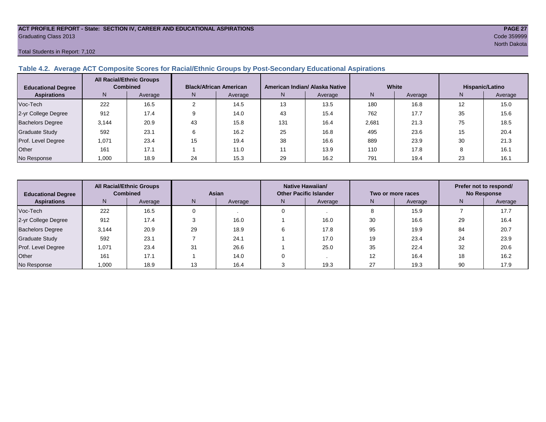## **ACT PROFILE REPORT - State: SECTION IV, CAREER AND EDUCATIONAL ASPIRATIONS PAGE 27** Graduating Class 2013 Code 359999

#### Total Students in Report: 7,102

#### **Table 4.2. Average ACT Composite Scores for Racial/Ethnic Groups by Post-Secondary Educational Aspirations**

| <b>Educational Degree</b> | <b>All Racial/Ethnic Groups</b><br><b>Combined</b> |         | <b>Black/African American</b> |         |     | American Indian/ Alaska Native |       | White   | Hispanic/Latino |         |  |
|---------------------------|----------------------------------------------------|---------|-------------------------------|---------|-----|--------------------------------|-------|---------|-----------------|---------|--|
| <b>Aspirations</b>        | N.                                                 | Average | N.                            | Average | N.  | Average                        |       | Average | N.              | Average |  |
| Voc-Tech                  | 222                                                | 16.5    |                               | 14.5    | 13  | 13.5                           | 180   | 16.8    | 12              | 15.0    |  |
| 2-yr College Degree       | 912                                                | 17.4    |                               | 14.0    | 43  | 15.4                           | 762   | 17.7    | 35              | 15.6    |  |
| <b>Bachelors Degree</b>   | 3,144                                              | 20.9    | 43                            | 15.8    | 131 | 16.4                           | 2,681 | 21.3    | 75              | 18.5    |  |
| <b>Graduate Study</b>     | 592                                                | 23.1    |                               | 16.2    | 25  | 16.8                           | 495   | 23.6    | 15              | 20.4    |  |
| Prof. Level Degree        | 1,071                                              | 23.4    | 15                            | 19.4    | 38  | 16.6                           | 889   | 23.9    | 30              | 21.3    |  |
| Other                     | 161                                                | 17.1    |                               | 11.0    |     | 13.9                           | 110   | 17.8    |                 | 16.1    |  |
| No Response               | 1,000                                              | 18.9    | 24                            | 15.3    | 29  | 16.2                           | 791   | 19.4    | 23              | 16.1    |  |

| <b>Educational Degree</b> | <b>All Racial/Ethnic Groups</b><br><b>Combined</b> |         | Asian |         |    | <b>Native Hawaiian/</b><br><b>Other Pacific Islander</b> |    | Two or more races | Prefer not to respond/<br><b>No Response</b> |         |  |
|---------------------------|----------------------------------------------------|---------|-------|---------|----|----------------------------------------------------------|----|-------------------|----------------------------------------------|---------|--|
| <b>Aspirations</b>        | N.                                                 | Average | N     | Average | N. | Average                                                  | N  | Average           | N                                            | Average |  |
| Voc-Tech                  | 222                                                | 16.5    |       |         |    |                                                          |    | 15.9              |                                              | 17.7    |  |
| 2-yr College Degree       | 912                                                | 17.4    |       | 16.0    |    | 16.0                                                     | 30 | 16.6              | 29                                           | 16.4    |  |
| <b>Bachelors Degree</b>   | 3,144                                              | 20.9    | 29    | 18.9    |    | 17.8                                                     | 95 | 19.9              | 84                                           | 20.7    |  |
| <b>Graduate Study</b>     | 592                                                | 23.1    |       | 24.1    |    | 17.0                                                     | 19 | 23.4              | 24                                           | 23.9    |  |
| Prof. Level Degree        | 1,071                                              | 23.4    | 31    | 26.6    |    | 25.0                                                     | 35 | 22.4              | 32                                           | 20.6    |  |
| Other                     | 161                                                | 17.1    |       | 14.0    |    |                                                          | 12 | 16.4              | 18                                           | 16.2    |  |
| No Response               | 1,000                                              | 18.9    | 13    | 16.4    |    | 19.3                                                     | 27 | 19.3              | 90                                           | 17.9    |  |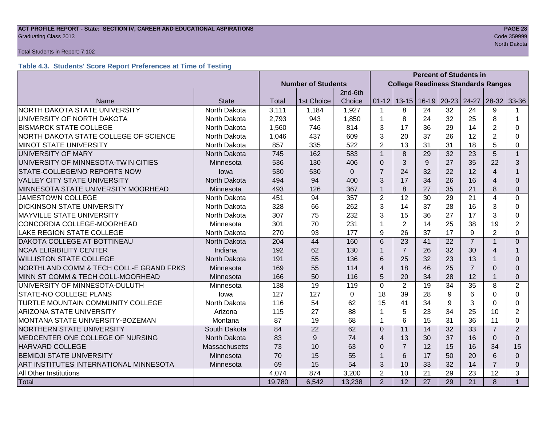## **ACT PROFILE REPORT - State: SECTION IV, CAREER AND EDUCATIONAL ASPIRATIONS PAGE 28** Graduating Class 2013 Code 359999

#### Total Students in Report: 7,102

### **Table 4.3. Students' Score Report Preferences at Time of Testing**

|                                              |               | <b>Percent of Students in</b> |                                           |             |                |                 |                   |           |                 |                |                |
|----------------------------------------------|---------------|-------------------------------|-------------------------------------------|-------------|----------------|-----------------|-------------------|-----------|-----------------|----------------|----------------|
|                                              |               | <b>Number of Students</b>     | <b>College Readiness Standards Ranges</b> |             |                |                 |                   |           |                 |                |                |
|                                              |               |                               |                                           | 2nd-6th     |                |                 |                   |           |                 |                |                |
| Name                                         | <b>State</b>  | Total                         | 1st Choice                                | Choice      | $01 - 12$      |                 | $13 - 15$   16-19 | $20 - 23$ | 24-27           | $28-32$        | 33-36          |
| NORTH DAKOTA STATE UNIVERSITY                | North Dakota  | 3,111                         | 1,184                                     | 1,927       | $\mathbf{1}$   | 8               | 24                | 32        | 24              | 9              |                |
| UNIVERSITY OF NORTH DAKOTA                   | North Dakota  | 2,793                         | 943                                       | 1,850       | 1              | 8               | 24                | 32        | 25              | 8              | $\mathbf 1$    |
| <b>BISMARCK STATE COLLEGE</b>                | North Dakota  | 1,560                         | 746                                       | 814         | 3              | 17              | 36                | 29        | 14              | $\overline{2}$ | 0              |
| NORTH DAKOTA STATE COLLEGE OF SCIENCE        | North Dakota  | 1,046                         | 437                                       | 609         | 3              | 20              | 37                | 26        | 12              | $\overline{2}$ | 0              |
| <b>MINOT STATE UNIVERSITY</b>                | North Dakota  | 857                           | 335                                       | 522         | $\overline{2}$ | 13              | 31                | 31        | 18              | 5              | 0              |
| UNIVERSITY OF MARY                           | North Dakota  | 745                           | 162                                       | 583         | $\overline{1}$ | 8               | 29                | 32        | 23              | 5              | $\mathbf{1}$   |
| UNIVERSITY OF MINNESOTA-TWIN CITIES          | Minnesota     | 536                           | 130                                       | 406         | $\Omega$       | 3               | 9                 | 27        | 35              | 22             | 3              |
| STATE-COLLEGE/NO REPORTS NOW                 | lowa          | 530                           | 530                                       | $\mathbf 0$ | $\overline{7}$ | 24              | 32                | 22        | 12              | $\overline{4}$ |                |
| <b>VALLEY CITY STATE UNIVERSITY</b>          | North Dakota  | 494                           | 94                                        | 400         | 3              | 17              | 34                | 26        | 16              | $\overline{4}$ | $\Omega$       |
| MINNESOTA STATE UNIVERSITY MOORHEAD          | Minnesota     | 493                           | 126                                       | 367         | $\mathbf{1}$   | 8               | 27                | 35        | 21              | 8              | 0              |
| <b>JAMESTOWN COLLEGE</b>                     | North Dakota  | 451                           | 94                                        | 357         | $\overline{2}$ | 12              | 30                | 29        | 21              | $\overline{4}$ | 0              |
| <b>DICKINSON STATE UNIVERSITY</b>            | North Dakota  | 328                           | 66                                        | 262         | 3              | 14              | 37                | 28        | 16              | 3              | 0              |
| MAYVILLE STATE UNIVERSITY                    | North Dakota  | 307                           | 75                                        | 232         | 3              | 15              | 36                | 27        | 17              | 3              | 0              |
| CONCORDIA COLLEGE-MOORHEAD                   | Minnesota     | 301                           | 70                                        | 231         | 1              | $\overline{2}$  | 14                | 25        | 38              | 19             | $\overline{2}$ |
| LAKE REGION STATE COLLEGE                    | North Dakota  | 270                           | 93                                        | 177         | 9              | 26              | 37                | 17        | 9               | $\overline{2}$ | 0              |
| DAKOTA COLLEGE AT BOTTINEAU                  | North Dakota  | 204                           | 44                                        | 160         | 6              | 23              | 41                | 22        | $\overline{7}$  |                | $\Omega$       |
| <b>NCAA ELIGIBILITY CENTER</b>               | Indiana       | 192                           | 62                                        | 130         | $\mathbf{1}$   | $\overline{7}$  | 26                | 32        | 30              | 4              | 1              |
| <b>WILLISTON STATE COLLEGE</b>               | North Dakota  | 191                           | 55                                        | 136         | 6              | 25              | 32                | 23        | 13              |                | 0              |
| NORTHLAND COMM & TECH COLL-E GRAND FRKS      | Minnesota     | 169                           | 55                                        | 114         | $\overline{4}$ | 18              | 46                | 25        | $\overline{7}$  | $\Omega$       | $\Omega$       |
| MINN ST COMM & TECH COLL-MOORHEAD            | Minnesota     | 166                           | 50                                        | 116         | 5              | 20              | 34                | 28        | 12              |                | $\Omega$       |
| UNIVERSITY OF MINNESOTA-DULUTH               | Minnesota     | 138                           | 19                                        | 119         | $\mathbf 0$    | $\overline{2}$  | 19                | 34        | 35              | 8              | 2              |
| STATE-NO COLLEGE PLANS                       | lowa          | 127                           | 127                                       | $\Omega$    | 18             | 39              | 28                | 9         | 6               | $\Omega$       | 0              |
| TURTLE MOUNTAIN COMMUNITY COLLEGE            | North Dakota  | 116                           | 54                                        | 62          | 15             | 41              | 34                | 9         | 3               | $\Omega$       | 0              |
| <b>ARIZONA STATE UNIVERSITY</b>              | Arizona       | 115                           | 27                                        | 88          | 1              | 5               | 23                | 34        | 25              | 10             | $\overline{2}$ |
| MONTANA STATE UNIVERSITY-BOZEMAN             | Montana       | 87                            | 19                                        | 68          | $\mathbf{1}$   | 6               | 15                | 31        | 36              | 11             | 0              |
| NORTHERN STATE UNIVERSITY                    | South Dakota  | 84                            | 22                                        | 62          | $\Omega$       | 11              | 14                | 32        | 33              | $\overline{7}$ | 2              |
| MEDCENTER ONE COLLEGE OF NURSING             | North Dakota  |                               | 9                                         | 74          | $\overline{4}$ | 13              | 30                | 37        | 16              | $\Omega$       | $\Omega$       |
| HARVARD COLLEGE                              | Massachusetts |                               | 10                                        | 63          | $\Omega$       | $\overline{7}$  | 12                | 15        | 16              | 34             | 15             |
| <b>BEMIDJI STATE UNIVERSITY</b><br>Minnesota |               |                               | 15                                        | 55          | $\mathbf{1}$   | 6               | 17                | 50        | 20              | 6              | $\Omega$       |
| ART INSTITUTES INTERNATIONAL MINNESOTA       | Minnesota     | 69                            | 15                                        | 54          | 3              | 10              | 33                | 32        | 14              | 7              | $\Omega$       |
| All Other Institutions                       |               | 4,074                         | 874                                       | 3,200       | $\overline{2}$ | 10              | 21                | 29        | 23              | 12             | 3              |
| Total                                        |               | 19,780                        | 6,542                                     | 13,238      | 2              | $\overline{12}$ | $\overline{27}$   | 29        | $\overline{21}$ | 8              | $\mathbf{1}$   |

North Dakota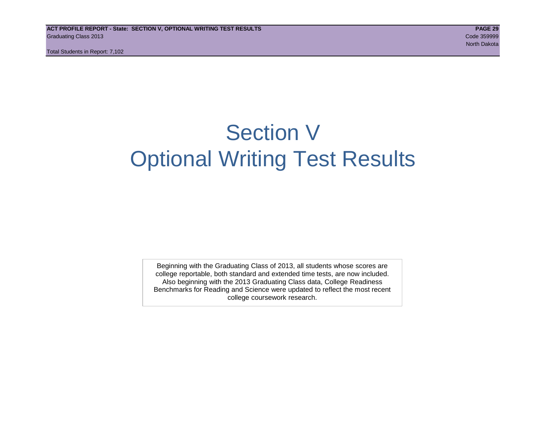## Section V Optional Writing Test Results

Beginning with the Graduating Class of 2013, all students whose scores are college reportable, both standard and extended time tests, are now included. Also beginning with the 2013 Graduating Class data, College Readiness Benchmarks for Reading and Science were updated to reflect the most recent college coursework research.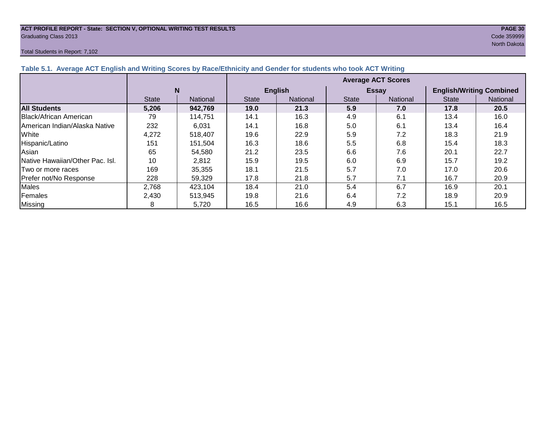#### **ACT PROFILE REPORT - State: SECTION V, OPTIONAL WRITING TEST RESULTS PAGE 30** Graduating Class 2013 Code 359999

#### Total Students in Report: 7,102

North Dakota

| Table 5.1. Average ACT English and Writing Scores by Race/Ethnicity and Gender for students who took ACT Writing |              |          |                           |                |              |              |                                 |          |  |  |
|------------------------------------------------------------------------------------------------------------------|--------------|----------|---------------------------|----------------|--------------|--------------|---------------------------------|----------|--|--|
|                                                                                                                  |              |          | <b>Average ACT Scores</b> |                |              |              |                                 |          |  |  |
|                                                                                                                  |              | N        |                           | <b>English</b> |              | <b>Essay</b> | <b>English/Writing Combined</b> |          |  |  |
|                                                                                                                  | <b>State</b> | National | <b>State</b>              | National       | <b>State</b> | National     | <b>State</b>                    | National |  |  |
| <b>All Students</b>                                                                                              | 5,206        | 942,769  | 19.0                      | 21.3           | 5.9          | 7.0          | 17.8                            | 20.5     |  |  |
| Black/African American                                                                                           | 79           | 114,751  | 14.1                      | 16.3           | 4.9          | 6.1          | 13.4                            | 16.0     |  |  |
| American Indian/Alaska Native                                                                                    | 232          | 6,031    | 14.1                      | 16.8           | 5.0          | 6.1          | 13.4                            | 16.4     |  |  |
| White                                                                                                            | 4,272        | 518.407  | 19.6                      | 22.9           | 5.9          | 7.2          | 18.3                            | 21.9     |  |  |
| Hispanic/Latino                                                                                                  | 151          | 151,504  | 16.3                      | 18.6           | 5.5          | 6.8          | 15.4                            | 18.3     |  |  |
| Asian                                                                                                            | 65           | 54,580   | 21.2                      | 23.5           | 6.6          | 7.6          | 20.1                            | 22.7     |  |  |
| Native Hawaiian/Other Pac. Isl.                                                                                  | 10           | 2,812    | 15.9                      | 19.5           | 6.0          | 6.9          | 15.7                            | 19.2     |  |  |
| ITwo or more races                                                                                               | 169          | 35,355   | 18.1                      | 21.5           | 5.7          | 7.0          | 17.0                            | 20.6     |  |  |
| Prefer not/No Response                                                                                           | 228          | 59,329   | 17.8                      | 21.8           | 5.7          | 7.1          | 16.7                            | 20.9     |  |  |
| Males                                                                                                            | 2,768        | 423,104  | 18.4                      | 21.0           | 5.4          | 6.7          | 16.9                            | 20.1     |  |  |
| Females                                                                                                          | 2.430        | 513,945  | 19.8                      | 21.6           | 6.4          | 7.2          | 18.9                            | 20.9     |  |  |
| <b>Missing</b>                                                                                                   | 8            | 5,720    | 16.5                      | 16.6           | 4.9          | 6.3          | 15.1                            | 16.5     |  |  |